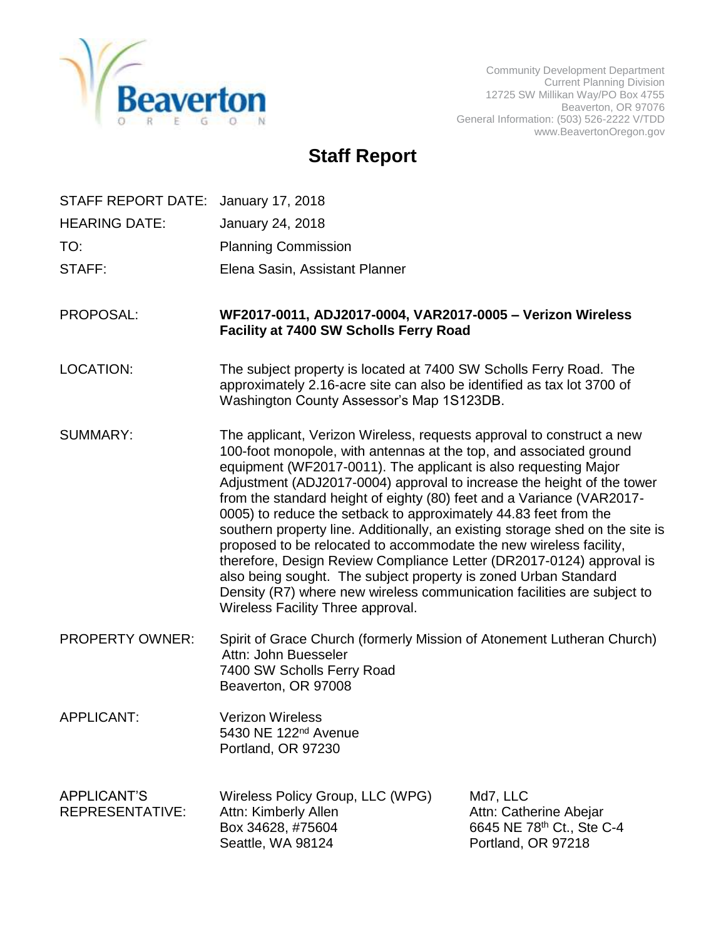

Community Development Department Current Planning Division 12725 SW Millikan Way/PO Box 4755 Beaverton, OR 97076 General Information: (503) 526-2222 V/TDD www.BeavertonOregon.gov

# **Staff Report**

| STAFF REPORT DATE: January 17, 2018          |                                                                                                                                                                                                                                                                                                                                                                                                                                                                                                                                                                                                                                                                                                                                                                                                                                                         |                                                                                       |
|----------------------------------------------|---------------------------------------------------------------------------------------------------------------------------------------------------------------------------------------------------------------------------------------------------------------------------------------------------------------------------------------------------------------------------------------------------------------------------------------------------------------------------------------------------------------------------------------------------------------------------------------------------------------------------------------------------------------------------------------------------------------------------------------------------------------------------------------------------------------------------------------------------------|---------------------------------------------------------------------------------------|
| <b>HEARING DATE:</b>                         | January 24, 2018                                                                                                                                                                                                                                                                                                                                                                                                                                                                                                                                                                                                                                                                                                                                                                                                                                        |                                                                                       |
| TO:                                          | <b>Planning Commission</b>                                                                                                                                                                                                                                                                                                                                                                                                                                                                                                                                                                                                                                                                                                                                                                                                                              |                                                                                       |
| STAFF:                                       | Elena Sasin, Assistant Planner                                                                                                                                                                                                                                                                                                                                                                                                                                                                                                                                                                                                                                                                                                                                                                                                                          |                                                                                       |
| PROPOSAL:                                    | WF2017-0011, ADJ2017-0004, VAR2017-0005 - Verizon Wireless<br><b>Facility at 7400 SW Scholls Ferry Road</b>                                                                                                                                                                                                                                                                                                                                                                                                                                                                                                                                                                                                                                                                                                                                             |                                                                                       |
| <b>LOCATION:</b>                             | The subject property is located at 7400 SW Scholls Ferry Road. The<br>approximately 2.16-acre site can also be identified as tax lot 3700 of<br>Washington County Assessor's Map 1S123DB.                                                                                                                                                                                                                                                                                                                                                                                                                                                                                                                                                                                                                                                               |                                                                                       |
| <b>SUMMARY:</b>                              | The applicant, Verizon Wireless, requests approval to construct a new<br>100-foot monopole, with antennas at the top, and associated ground<br>equipment (WF2017-0011). The applicant is also requesting Major<br>Adjustment (ADJ2017-0004) approval to increase the height of the tower<br>from the standard height of eighty (80) feet and a Variance (VAR2017-<br>0005) to reduce the setback to approximately 44.83 feet from the<br>southern property line. Additionally, an existing storage shed on the site is<br>proposed to be relocated to accommodate the new wireless facility,<br>therefore, Design Review Compliance Letter (DR2017-0124) approval is<br>also being sought. The subject property is zoned Urban Standard<br>Density (R7) where new wireless communication facilities are subject to<br>Wireless Facility Three approval. |                                                                                       |
| PROPERTY OWNER:                              | Spirit of Grace Church (formerly Mission of Atonement Lutheran Church)<br>Attn: John Buesseler<br>7400 SW Scholls Ferry Road<br>Beaverton, OR 97008                                                                                                                                                                                                                                                                                                                                                                                                                                                                                                                                                                                                                                                                                                     |                                                                                       |
| APPLICANT:                                   | <b>Verizon Wireless</b><br>5430 NE 122 <sup>nd</sup> Avenue<br>Portland, OR 97230                                                                                                                                                                                                                                                                                                                                                                                                                                                                                                                                                                                                                                                                                                                                                                       |                                                                                       |
| <b>APPLICANT'S</b><br><b>REPRESENTATIVE:</b> | Wireless Policy Group, LLC (WPG)<br>Attn: Kimberly Allen<br>Box 34628, #75604<br>Seattle, WA 98124                                                                                                                                                                                                                                                                                                                                                                                                                                                                                                                                                                                                                                                                                                                                                      | Md7, LLC<br>Attn: Catherine Abejar<br>6645 NE 78th Ct., Ste C-4<br>Portland, OR 97218 |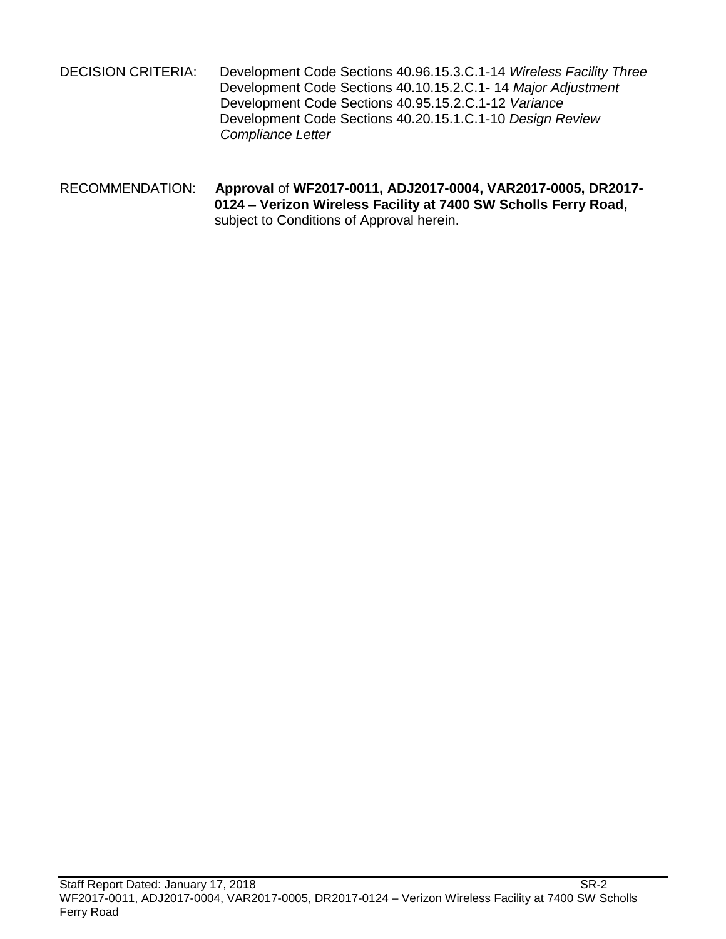- DECISION CRITERIA: Development Code Sections 40.96.15.3.C.1-14 *Wireless Facility Three* Development Code Sections 40.10.15.2.C.1- 14 *Major Adjustment* Development Code Sections 40.95.15.2.C.1-12 *Variance* Development Code Sections 40.20.15.1.C.1-10 *Design Review Compliance Letter*
- RECOMMENDATION: **Approval** of **WF2017-0011, ADJ2017-0004, VAR2017-0005, DR2017- 0124 – Verizon Wireless Facility at 7400 SW Scholls Ferry Road,**  subject to Conditions of Approval herein.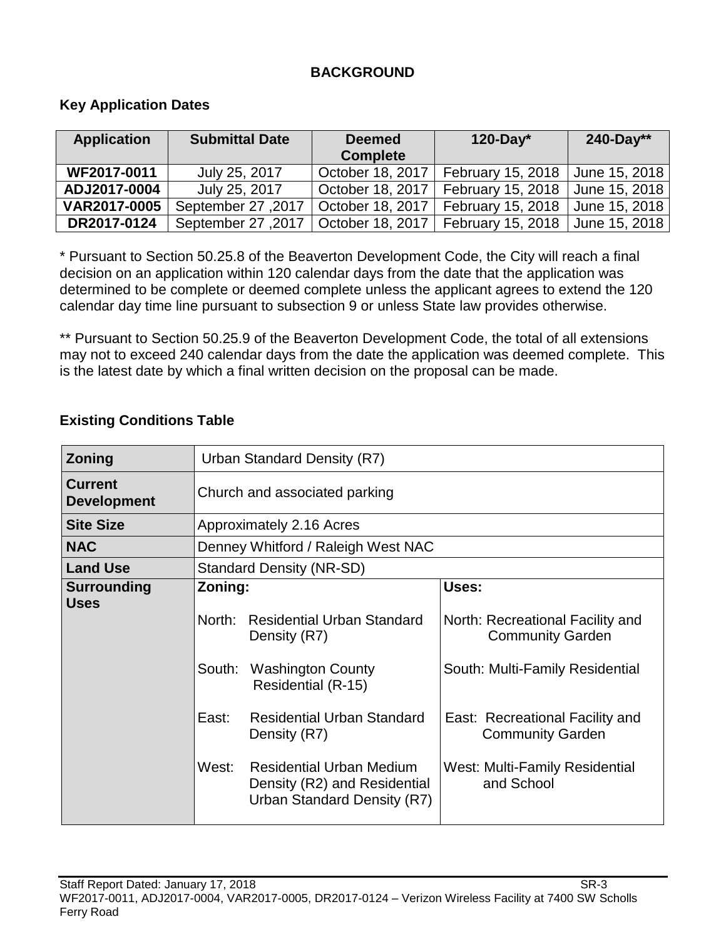# **BACKGROUND**

# **Key Application Dates**

| <b>Application</b> | <b>Submittal Date</b> | <b>Deemed</b><br><b>Complete</b> | 120-Day $*$       | 240-Day**     |
|--------------------|-----------------------|----------------------------------|-------------------|---------------|
| WF2017-0011        | July 25, 2017         | October 18, 2017                 | February 15, 2018 | June 15, 2018 |
| ADJ2017-0004       | July 25, 2017         | October 18, 2017                 | February 15, 2018 | June 15, 2018 |
| VAR2017-0005       | September 27, 2017    | October 18, 2017                 | February 15, 2018 | June 15, 2018 |
| DR2017-0124        | September 27, 2017    | October 18, 2017                 | February 15, 2018 | June 15, 2018 |

\* Pursuant to Section 50.25.8 of the Beaverton Development Code, the City will reach a final decision on an application within 120 calendar days from the date that the application was determined to be complete or deemed complete unless the applicant agrees to extend the 120 calendar day time line pursuant to subsection 9 or unless State law provides otherwise.

\*\* Pursuant to Section 50.25.9 of the Beaverton Development Code, the total of all extensions may not to exceed 240 calendar days from the date the application was deemed complete. This is the latest date by which a final written decision on the proposal can be made.

| Zoning                               |                                               | Urban Standard Density (R7)                                                                                                                                                                                                                                |                                                                                                                                                                                                                              |  |  |
|--------------------------------------|-----------------------------------------------|------------------------------------------------------------------------------------------------------------------------------------------------------------------------------------------------------------------------------------------------------------|------------------------------------------------------------------------------------------------------------------------------------------------------------------------------------------------------------------------------|--|--|
| <b>Current</b><br><b>Development</b> |                                               | Church and associated parking                                                                                                                                                                                                                              |                                                                                                                                                                                                                              |  |  |
| <b>Site Size</b>                     |                                               | Approximately 2.16 Acres                                                                                                                                                                                                                                   |                                                                                                                                                                                                                              |  |  |
| <b>NAC</b>                           |                                               | Denney Whitford / Raleigh West NAC                                                                                                                                                                                                                         |                                                                                                                                                                                                                              |  |  |
| <b>Land Use</b>                      |                                               | <b>Standard Density (NR-SD)</b>                                                                                                                                                                                                                            |                                                                                                                                                                                                                              |  |  |
| <b>Surrounding</b><br><b>Uses</b>    | Zoning:<br>North:<br>South:<br>East:<br>West: | <b>Residential Urban Standard</b><br>Density (R7)<br><b>Washington County</b><br>Residential (R-15)<br><b>Residential Urban Standard</b><br>Density (R7)<br><b>Residential Urban Medium</b><br>Density (R2) and Residential<br>Urban Standard Density (R7) | Uses:<br>North: Recreational Facility and<br><b>Community Garden</b><br>South: Multi-Family Residential<br>East: Recreational Facility and<br><b>Community Garden</b><br><b>West: Multi-Family Residential</b><br>and School |  |  |

# **Existing Conditions Table**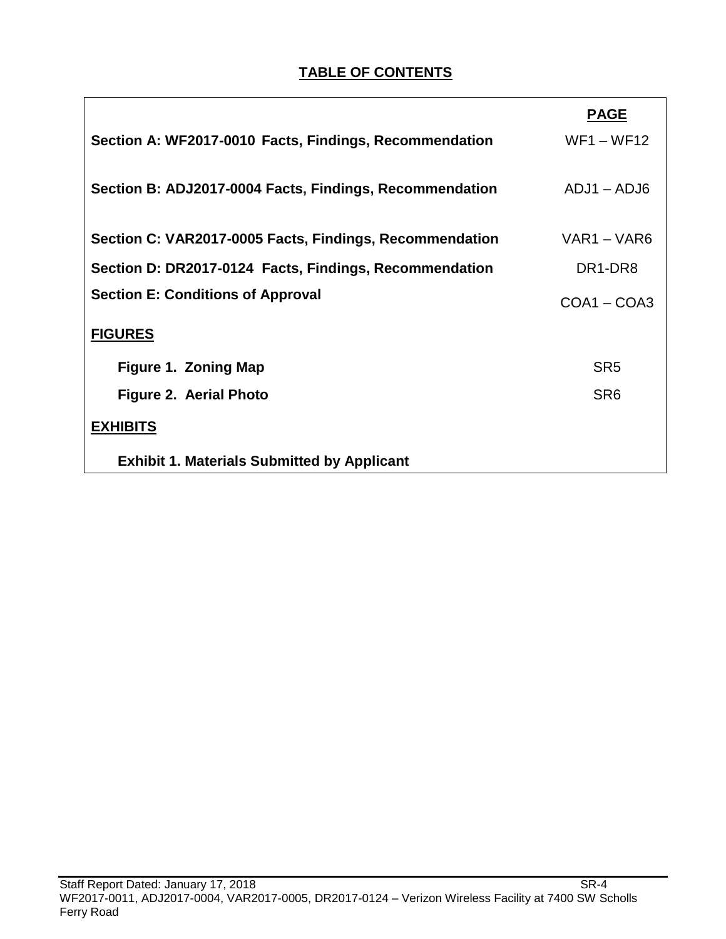# **TABLE OF CONTENTS**

|                                                         | <b>PAGE</b>                      |
|---------------------------------------------------------|----------------------------------|
| Section A: WF2017-0010 Facts, Findings, Recommendation  | $WF1 - WF12$                     |
| Section B: ADJ2017-0004 Facts, Findings, Recommendation | $ADJ1 - ADJ6$                    |
| Section C: VAR2017-0005 Facts, Findings, Recommendation | VAR1 - VAR6                      |
| Section D: DR2017-0124 Facts, Findings, Recommendation  | DR <sub>1</sub> -DR <sub>8</sub> |
| <b>Section E: Conditions of Approval</b>                | $COA1 - COA3$                    |
| <b>FIGURES</b>                                          |                                  |
| <b>Figure 1. Zoning Map</b>                             | SR <sub>5</sub>                  |
| Figure 2. Aerial Photo                                  | SR <sub>6</sub>                  |
| <b>EXHIBITS</b>                                         |                                  |
| <b>Exhibit 1. Materials Submitted by Applicant</b>      |                                  |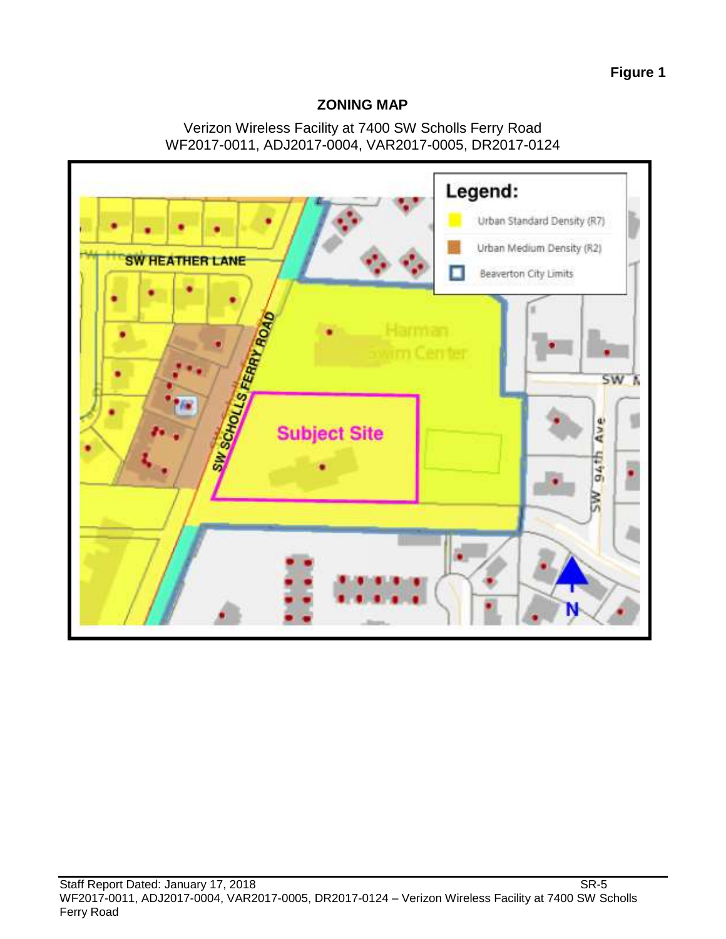# **Figure 1**

### **ZONING MAP**

## Verizon Wireless Facility at 7400 SW Scholls Ferry Road WF2017-0011, ADJ2017-0004, VAR2017-0005, DR2017-0124

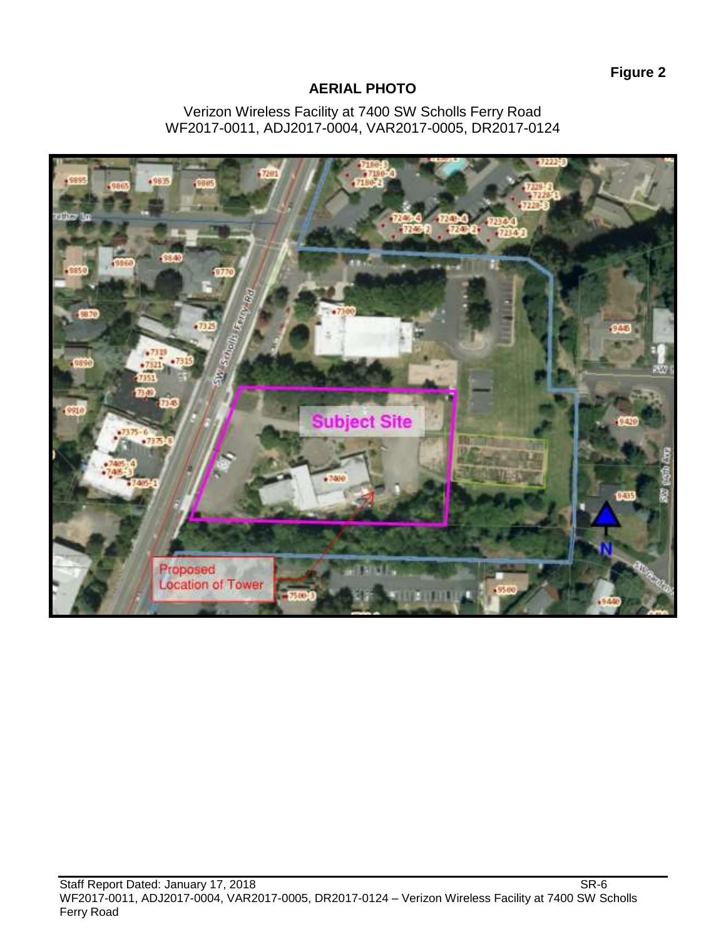# **AERIAL PHOTO**

#### Verizon Wireless Facility at 7400 SW Scholls Ferry Road WF2017-0011, ADJ2017-0004, VAR2017-0005, DR2017-0124

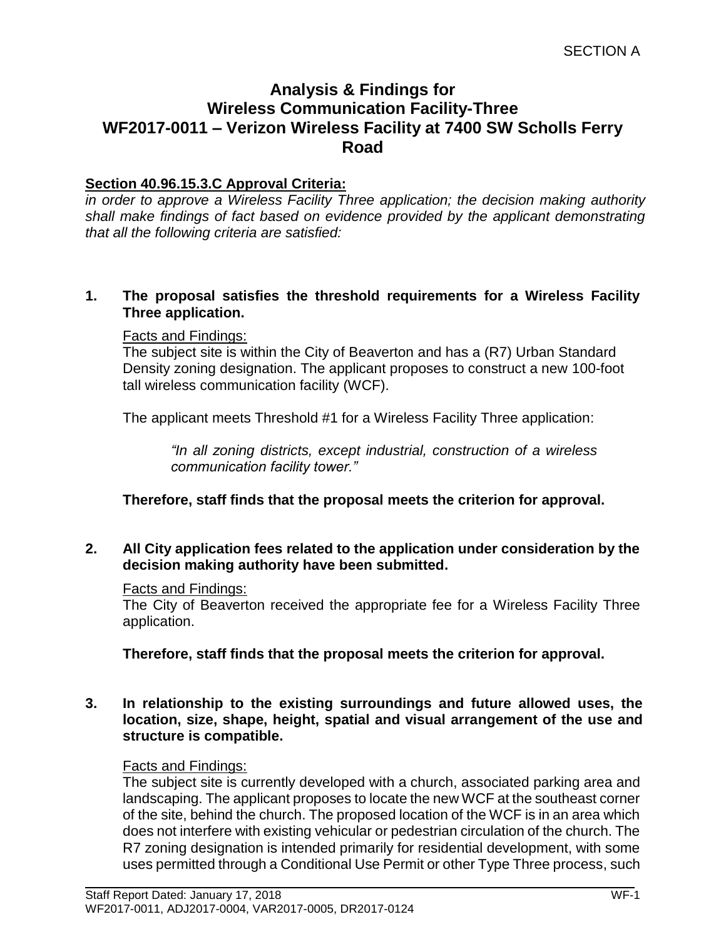# **Analysis & Findings for Wireless Communication Facility-Three WF2017-0011 – Verizon Wireless Facility at 7400 SW Scholls Ferry Road**

# **Section 40.96.15.3.C Approval Criteria:**

*in order to approve a Wireless Facility Three application; the decision making authority shall make findings of fact based on evidence provided by the applicant demonstrating that all the following criteria are satisfied:*

### **1. The proposal satisfies the threshold requirements for a Wireless Facility Three application.**

### Facts and Findings:

The subject site is within the City of Beaverton and has a (R7) Urban Standard Density zoning designation. The applicant proposes to construct a new 100-foot tall wireless communication facility (WCF).

The applicant meets Threshold #1 for a Wireless Facility Three application:

*"In all zoning districts, except industrial, construction of a wireless communication facility tower."*

**Therefore, staff finds that the proposal meets the criterion for approval.**

### **2. All City application fees related to the application under consideration by the decision making authority have been submitted.**

### Facts and Findings:

The City of Beaverton received the appropriate fee for a Wireless Facility Three application.

**Therefore, staff finds that the proposal meets the criterion for approval.**

**3. In relationship to the existing surroundings and future allowed uses, the location, size, shape, height, spatial and visual arrangement of the use and structure is compatible.**

### Facts and Findings:

The subject site is currently developed with a church, associated parking area and landscaping. The applicant proposes to locate the new WCF at the southeast corner of the site, behind the church. The proposed location of the WCF is in an area which does not interfere with existing vehicular or pedestrian circulation of the church. The R7 zoning designation is intended primarily for residential development, with some uses permitted through a Conditional Use Permit or other Type Three process, such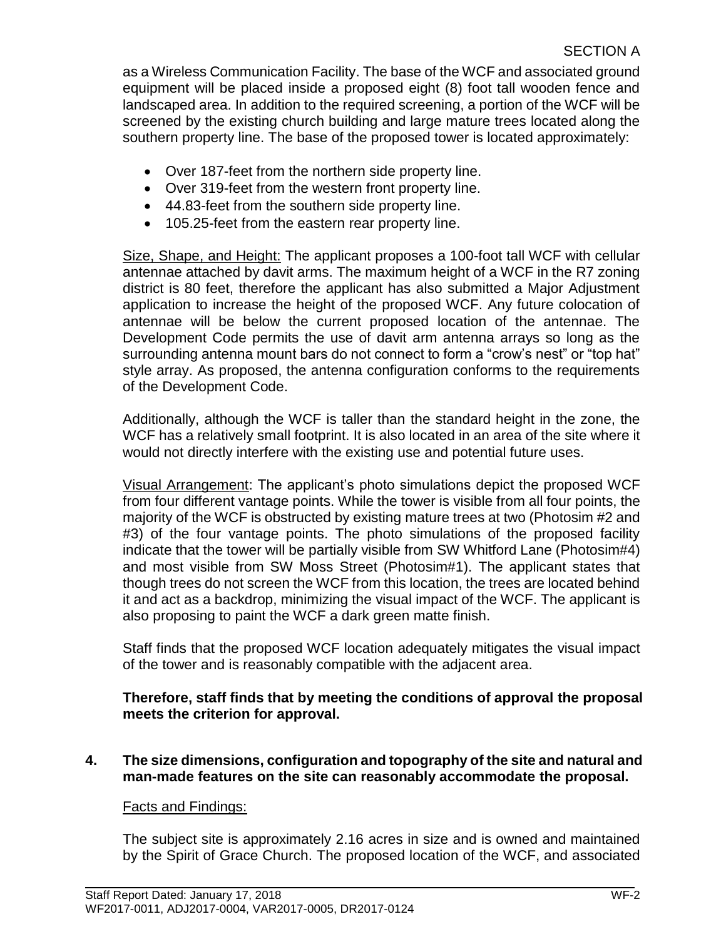as a Wireless Communication Facility. The base of the WCF and associated ground equipment will be placed inside a proposed eight (8) foot tall wooden fence and landscaped area. In addition to the required screening, a portion of the WCF will be screened by the existing church building and large mature trees located along the southern property line. The base of the proposed tower is located approximately:

- Over 187-feet from the northern side property line.
- Over 319-feet from the western front property line.
- 44.83-feet from the southern side property line.
- 105.25-feet from the eastern rear property line.

Size, Shape, and Height: The applicant proposes a 100-foot tall WCF with cellular antennae attached by davit arms. The maximum height of a WCF in the R7 zoning district is 80 feet, therefore the applicant has also submitted a Major Adjustment application to increase the height of the proposed WCF. Any future colocation of antennae will be below the current proposed location of the antennae. The Development Code permits the use of davit arm antenna arrays so long as the surrounding antenna mount bars do not connect to form a "crow's nest" or "top hat" style array. As proposed, the antenna configuration conforms to the requirements of the Development Code.

Additionally, although the WCF is taller than the standard height in the zone, the WCF has a relatively small footprint. It is also located in an area of the site where it would not directly interfere with the existing use and potential future uses.

Visual Arrangement: The applicant's photo simulations depict the proposed WCF from four different vantage points. While the tower is visible from all four points, the majority of the WCF is obstructed by existing mature trees at two (Photosim #2 and #3) of the four vantage points. The photo simulations of the proposed facility indicate that the tower will be partially visible from SW Whitford Lane (Photosim#4) and most visible from SW Moss Street (Photosim#1). The applicant states that though trees do not screen the WCF from this location, the trees are located behind it and act as a backdrop, minimizing the visual impact of the WCF. The applicant is also proposing to paint the WCF a dark green matte finish.

Staff finds that the proposed WCF location adequately mitigates the visual impact of the tower and is reasonably compatible with the adjacent area.

# **Therefore, staff finds that by meeting the conditions of approval the proposal meets the criterion for approval.**

**4. The size dimensions, configuration and topography of the site and natural and man-made features on the site can reasonably accommodate the proposal.**

# Facts and Findings:

The subject site is approximately 2.16 acres in size and is owned and maintained by the Spirit of Grace Church. The proposed location of the WCF, and associated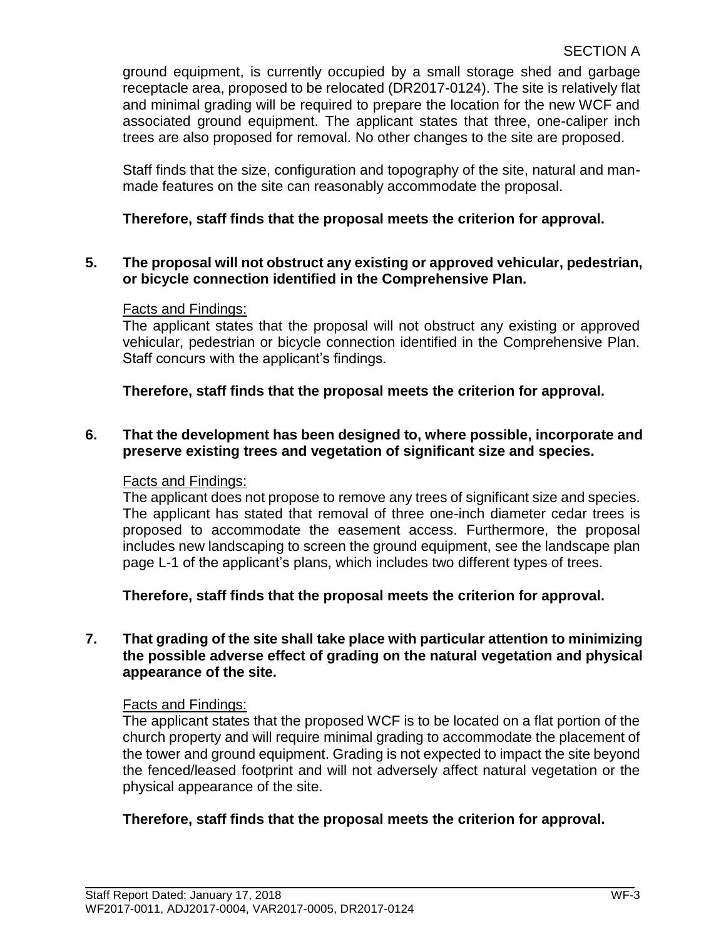ground equipment, is currently occupied by a small storage shed and garbage receptacle area, proposed to be relocated (DR2017-0124). The site is relatively flat and minimal grading will be required to prepare the location for the new WCF and associated ground equipment. The applicant states that three, one-caliper inch trees are also proposed for removal. No other changes to the site are proposed.

Staff finds that the size, configuration and topography of the site, natural and manmade features on the site can reasonably accommodate the proposal.

# **Therefore, staff finds that the proposal meets the criterion for approval.**

# **5. The proposal will not obstruct any existing or approved vehicular, pedestrian, or bicycle connection identified in the Comprehensive Plan.**

# Facts and Findings:

The applicant states that the proposal will not obstruct any existing or approved vehicular, pedestrian or bicycle connection identified in the Comprehensive Plan. Staff concurs with the applicant's findings.

# **Therefore, staff finds that the proposal meets the criterion for approval.**

# **6. That the development has been designed to, where possible, incorporate and preserve existing trees and vegetation of significant size and species.**

### Facts and Findings:

The applicant does not propose to remove any trees of significant size and species. The applicant has stated that removal of three one-inch diameter cedar trees is proposed to accommodate the easement access. Furthermore, the proposal includes new landscaping to screen the ground equipment, see the landscape plan page L-1 of the applicant's plans, which includes two different types of trees.

**Therefore, staff finds that the proposal meets the criterion for approval.**

# **7. That grading of the site shall take place with particular attention to minimizing the possible adverse effect of grading on the natural vegetation and physical appearance of the site.**

### Facts and Findings:

The applicant states that the proposed WCF is to be located on a flat portion of the church property and will require minimal grading to accommodate the placement of the tower and ground equipment. Grading is not expected to impact the site beyond the fenced/leased footprint and will not adversely affect natural vegetation or the physical appearance of the site.

# **Therefore, staff finds that the proposal meets the criterion for approval.**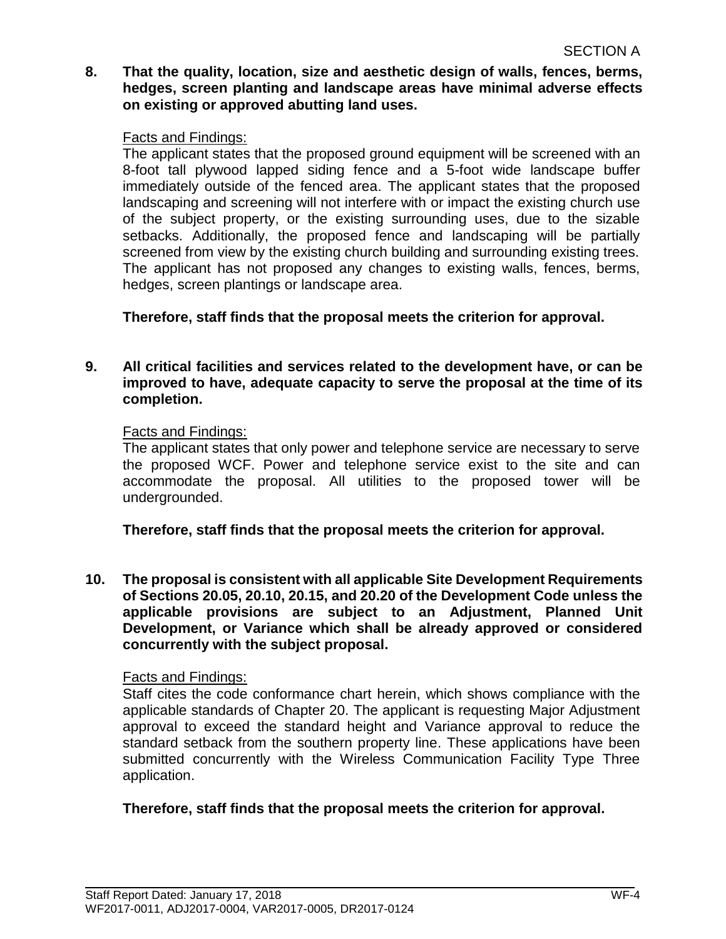**8. That the quality, location, size and aesthetic design of walls, fences, berms, hedges, screen planting and landscape areas have minimal adverse effects on existing or approved abutting land uses.**

#### Facts and Findings:

The applicant states that the proposed ground equipment will be screened with an 8-foot tall plywood lapped siding fence and a 5-foot wide landscape buffer immediately outside of the fenced area. The applicant states that the proposed landscaping and screening will not interfere with or impact the existing church use of the subject property, or the existing surrounding uses, due to the sizable setbacks. Additionally, the proposed fence and landscaping will be partially screened from view by the existing church building and surrounding existing trees. The applicant has not proposed any changes to existing walls, fences, berms, hedges, screen plantings or landscape area.

**Therefore, staff finds that the proposal meets the criterion for approval.**

#### **9. All critical facilities and services related to the development have, or can be improved to have, adequate capacity to serve the proposal at the time of its completion.**

#### Facts and Findings:

The applicant states that only power and telephone service are necessary to serve the proposed WCF. Power and telephone service exist to the site and can accommodate the proposal. All utilities to the proposed tower will be undergrounded.

**Therefore, staff finds that the proposal meets the criterion for approval.**

**10. The proposal is consistent with all applicable Site Development Requirements of Sections 20.05, 20.10, 20.15, and 20.20 of the Development Code unless the applicable provisions are subject to an Adjustment, Planned Unit Development, or Variance which shall be already approved or considered concurrently with the subject proposal.** 

### Facts and Findings:

Staff cites the code conformance chart herein, which shows compliance with the applicable standards of Chapter 20. The applicant is requesting Major Adjustment approval to exceed the standard height and Variance approval to reduce the standard setback from the southern property line. These applications have been submitted concurrently with the Wireless Communication Facility Type Three application.

### **Therefore, staff finds that the proposal meets the criterion for approval.**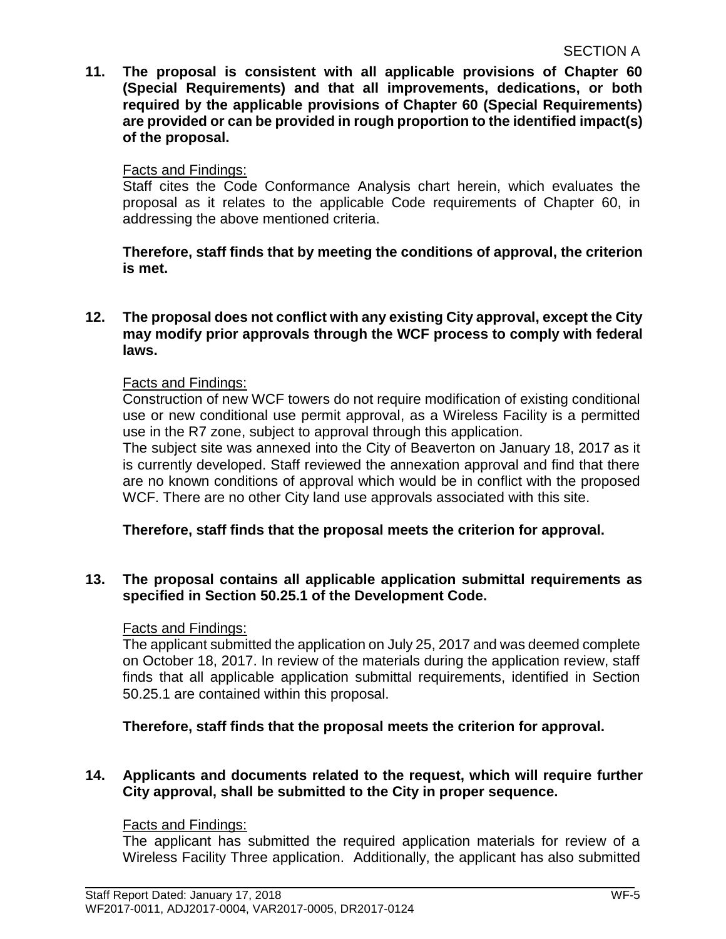**11. The proposal is consistent with all applicable provisions of Chapter 60 (Special Requirements) and that all improvements, dedications, or both required by the applicable provisions of Chapter 60 (Special Requirements) are provided or can be provided in rough proportion to the identified impact(s) of the proposal.**

### Facts and Findings:

Staff cites the Code Conformance Analysis chart herein, which evaluates the proposal as it relates to the applicable Code requirements of Chapter 60, in addressing the above mentioned criteria.

**Therefore, staff finds that by meeting the conditions of approval, the criterion is met.**

#### **12. The proposal does not conflict with any existing City approval, except the City may modify prior approvals through the WCF process to comply with federal laws.**

### Facts and Findings:

Construction of new WCF towers do not require modification of existing conditional use or new conditional use permit approval, as a Wireless Facility is a permitted use in the R7 zone, subject to approval through this application.

The subject site was annexed into the City of Beaverton on January 18, 2017 as it is currently developed. Staff reviewed the annexation approval and find that there are no known conditions of approval which would be in conflict with the proposed WCF. There are no other City land use approvals associated with this site.

### **Therefore, staff finds that the proposal meets the criterion for approval.**

### **13. The proposal contains all applicable application submittal requirements as specified in Section 50.25.1 of the Development Code.**

### Facts and Findings:

The applicant submitted the application on July 25, 2017 and was deemed complete on October 18, 2017. In review of the materials during the application review, staff finds that all applicable application submittal requirements, identified in Section 50.25.1 are contained within this proposal.

### **Therefore, staff finds that the proposal meets the criterion for approval.**

### **14. Applicants and documents related to the request, which will require further City approval, shall be submitted to the City in proper sequence.**

### Facts and Findings:

The applicant has submitted the required application materials for review of a Wireless Facility Three application. Additionally, the applicant has also submitted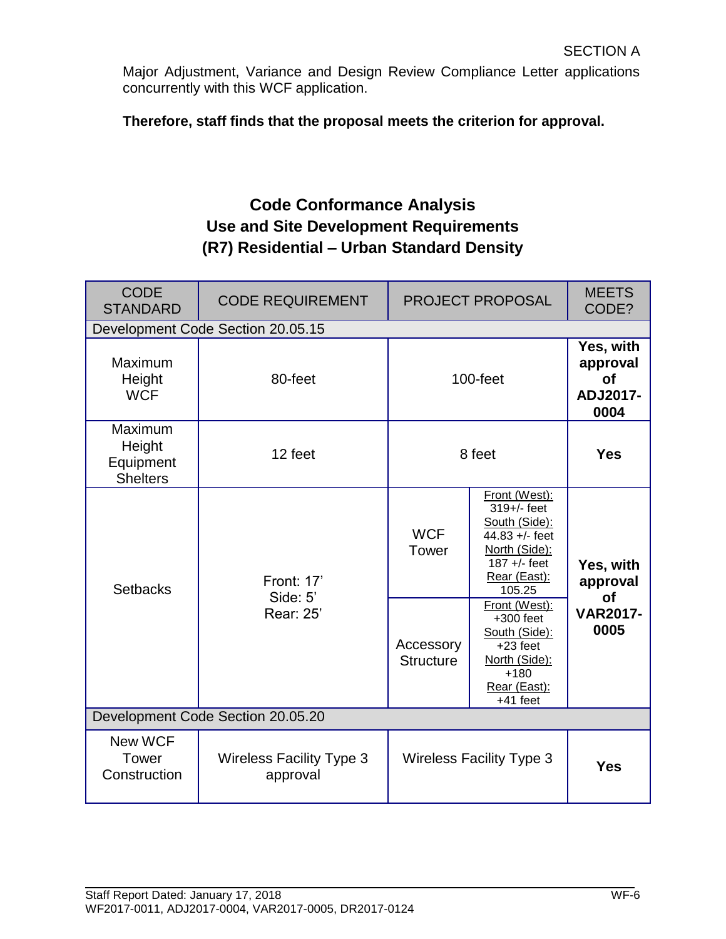Major Adjustment, Variance and Design Review Compliance Letter applications concurrently with this WCF application.

**Therefore, staff finds that the proposal meets the criterion for approval.**

# **Code Conformance Analysis Use and Site Development Requirements (R7) Residential – Urban Standard Density**

| <b>CODE</b><br><b>STANDARD</b>                    | <b>CODE REQUIREMENT</b>                     |                               | <b>PROJECT PROPOSAL</b>                                                                                                                                      | <b>MEETS</b><br>CODE?                                  |
|---------------------------------------------------|---------------------------------------------|-------------------------------|--------------------------------------------------------------------------------------------------------------------------------------------------------------|--------------------------------------------------------|
|                                                   | Development Code Section 20.05.15           |                               |                                                                                                                                                              |                                                        |
| Maximum<br>Height<br><b>WCF</b>                   | 80-feet                                     |                               | $100$ -feet                                                                                                                                                  | Yes, with<br>approval<br><b>of</b><br>ADJ2017-<br>0004 |
| Maximum<br>Height<br>Equipment<br><b>Shelters</b> | 12 feet                                     |                               | 8 feet                                                                                                                                                       | <b>Yes</b>                                             |
| <b>Setbacks</b>                                   | <b>Front: 17'</b><br>Side: 5'<br>Rear: 25'  | <b>WCF</b><br>Tower           | Front (West):<br>319+/- feet<br>South (Side):<br>44.83 +/- feet<br>North (Side):<br>$187 +/-$ feet<br>Rear (East):<br>105.25<br>Front (West):<br>$+300$ feet | Yes, with<br>approval<br><b>of</b><br><b>VAR2017-</b>  |
|                                                   |                                             | Accessory<br><b>Structure</b> | South (Side):<br>$+23$ feet<br>North (Side):<br>$+180$<br>Rear (East):<br>$+41$ feet                                                                         | 0005                                                   |
| Development Code Section 20.05.20                 |                                             |                               |                                                                                                                                                              |                                                        |
| New WCF<br>Tower<br>Construction                  | <b>Wireless Facility Type 3</b><br>approval |                               | <b>Wireless Facility Type 3</b>                                                                                                                              | <b>Yes</b>                                             |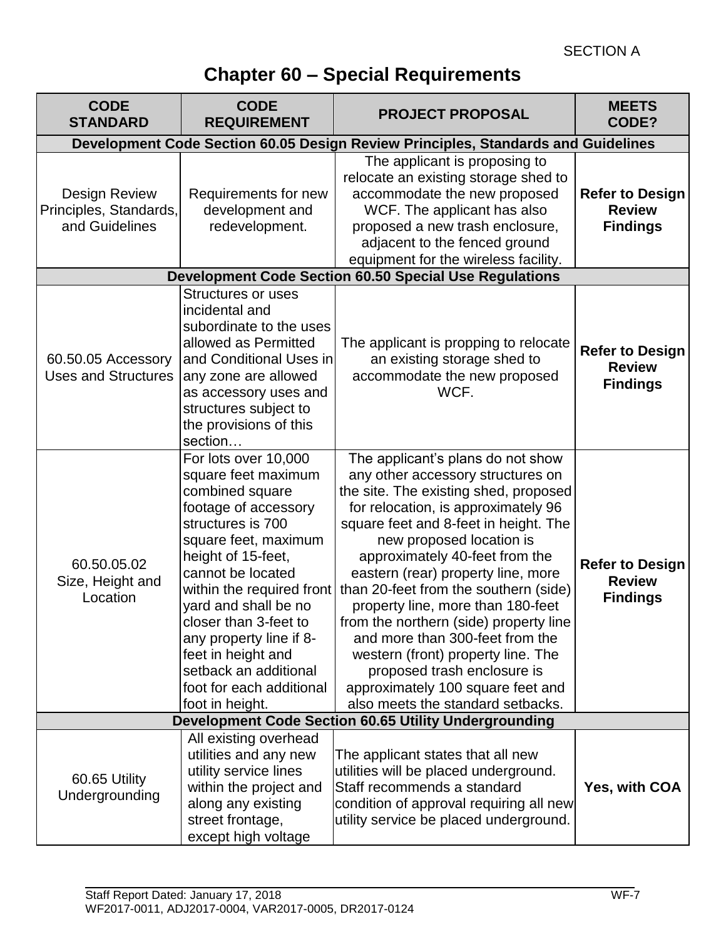# **Chapter 60 – Special Requirements**

| <b>CODE</b><br><b>STANDARD</b>                                   | <b>CODE</b><br><b>REQUIREMENT</b>                                                                                                                                                                                                                                                                                                                                                     | <b>PROJECT PROPOSAL</b>                                                                                                                                                                                                                                                                                                                                                                                                                                                                                                                                                                                       | <b>MEETS</b><br>CODE?                                      |
|------------------------------------------------------------------|---------------------------------------------------------------------------------------------------------------------------------------------------------------------------------------------------------------------------------------------------------------------------------------------------------------------------------------------------------------------------------------|---------------------------------------------------------------------------------------------------------------------------------------------------------------------------------------------------------------------------------------------------------------------------------------------------------------------------------------------------------------------------------------------------------------------------------------------------------------------------------------------------------------------------------------------------------------------------------------------------------------|------------------------------------------------------------|
|                                                                  |                                                                                                                                                                                                                                                                                                                                                                                       | Development Code Section 60.05 Design Review Principles, Standards and Guidelines                                                                                                                                                                                                                                                                                                                                                                                                                                                                                                                             |                                                            |
| <b>Design Review</b><br>Principles, Standards,<br>and Guidelines | Requirements for new<br>development and<br>redevelopment.                                                                                                                                                                                                                                                                                                                             | The applicant is proposing to<br>relocate an existing storage shed to<br>accommodate the new proposed<br>WCF. The applicant has also<br>proposed a new trash enclosure,<br>adjacent to the fenced ground<br>equipment for the wireless facility.                                                                                                                                                                                                                                                                                                                                                              | <b>Refer to Design</b><br><b>Review</b><br><b>Findings</b> |
|                                                                  |                                                                                                                                                                                                                                                                                                                                                                                       | <b>Development Code Section 60.50 Special Use Regulations</b>                                                                                                                                                                                                                                                                                                                                                                                                                                                                                                                                                 |                                                            |
| 60.50.05 Accessory<br><b>Uses and Structures</b>                 | <b>Structures or uses</b><br>incidental and<br>subordinate to the uses<br>allowed as Permitted<br>and Conditional Uses in<br>any zone are allowed<br>as accessory uses and<br>structures subject to<br>the provisions of this<br>section                                                                                                                                              | The applicant is propping to relocate<br>an existing storage shed to<br>accommodate the new proposed<br>WCF.                                                                                                                                                                                                                                                                                                                                                                                                                                                                                                  | <b>Refer to Design</b><br><b>Review</b><br><b>Findings</b> |
| 60.50.05.02<br>Size, Height and<br>Location                      | For lots over 10,000<br>square feet maximum<br>combined square<br>footage of accessory<br>structures is 700<br>square feet, maximum<br>height of 15-feet,<br>cannot be located<br>within the required front<br>yard and shall be no<br>closer than 3-feet to<br>any property line if 8-<br>feet in height and<br>setback an additional<br>foot for each additional<br>foot in height. | The applicant's plans do not show<br>any other accessory structures on<br>the site. The existing shed, proposed<br>for relocation, is approximately 96<br>square feet and 8-feet in height. The<br>new proposed location is<br>approximately 40-feet from the<br>eastern (rear) property line, more<br>than 20-feet from the southern (side)<br>property line, more than 180-feet<br>from the northern (side) property line<br>and more than 300-feet from the<br>western (front) property line. The<br>proposed trash enclosure is<br>approximately 100 square feet and<br>also meets the standard setbacks. | <b>Refer to Design</b><br><b>Review</b><br><b>Findings</b> |
|                                                                  |                                                                                                                                                                                                                                                                                                                                                                                       | <b>Development Code Section 60.65 Utility Undergrounding</b>                                                                                                                                                                                                                                                                                                                                                                                                                                                                                                                                                  |                                                            |
| 60.65 Utility<br>Undergrounding                                  | All existing overhead<br>utilities and any new<br>utility service lines<br>within the project and<br>along any existing<br>street frontage,<br>except high voltage                                                                                                                                                                                                                    | The applicant states that all new<br>utilities will be placed underground.<br>Staff recommends a standard<br>condition of approval requiring all new<br>utility service be placed underground.                                                                                                                                                                                                                                                                                                                                                                                                                | Yes, with COA                                              |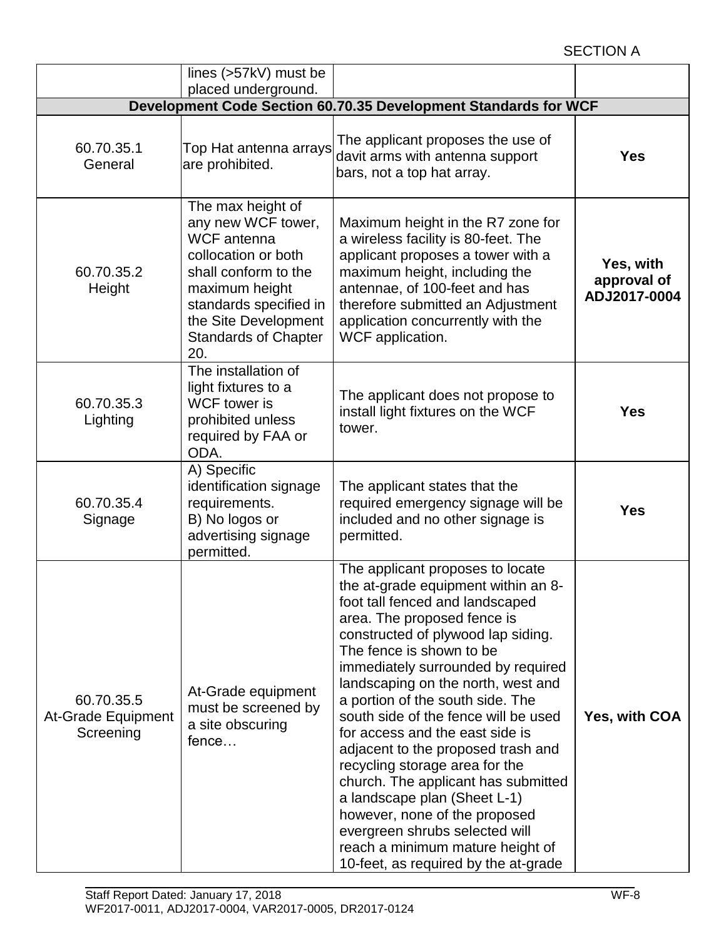# SECTION A

|                                               | lines (>57kV) must be                                                                                                                                                                                                  |                                                                                                                                                                                                                                                                                                                                                                                                                                                                                                                                                                                                                                                                                                      |                                          |
|-----------------------------------------------|------------------------------------------------------------------------------------------------------------------------------------------------------------------------------------------------------------------------|------------------------------------------------------------------------------------------------------------------------------------------------------------------------------------------------------------------------------------------------------------------------------------------------------------------------------------------------------------------------------------------------------------------------------------------------------------------------------------------------------------------------------------------------------------------------------------------------------------------------------------------------------------------------------------------------------|------------------------------------------|
|                                               | placed underground.                                                                                                                                                                                                    |                                                                                                                                                                                                                                                                                                                                                                                                                                                                                                                                                                                                                                                                                                      |                                          |
|                                               |                                                                                                                                                                                                                        | Development Code Section 60.70.35 Development Standards for WCF                                                                                                                                                                                                                                                                                                                                                                                                                                                                                                                                                                                                                                      |                                          |
| 60.70.35.1<br>General                         | Top Hat antenna arrays<br>are prohibited.                                                                                                                                                                              | The applicant proposes the use of<br>davit arms with antenna support<br>bars, not a top hat array.                                                                                                                                                                                                                                                                                                                                                                                                                                                                                                                                                                                                   | <b>Yes</b>                               |
| 60.70.35.2<br>Height                          | The max height of<br>any new WCF tower,<br><b>WCF</b> antenna<br>collocation or both<br>shall conform to the<br>maximum height<br>standards specified in<br>the Site Development<br><b>Standards of Chapter</b><br>20. | Maximum height in the R7 zone for<br>a wireless facility is 80-feet. The<br>applicant proposes a tower with a<br>maximum height, including the<br>antennae, of 100-feet and has<br>therefore submitted an Adjustment<br>application concurrently with the<br>WCF application.                                                                                                                                                                                                                                                                                                                                                                                                                        | Yes, with<br>approval of<br>ADJ2017-0004 |
| 60.70.35.3<br>Lighting                        | The installation of<br>light fixtures to a<br><b>WCF</b> tower is<br>prohibited unless<br>required by FAA or<br>ODA.                                                                                                   | The applicant does not propose to<br>install light fixtures on the WCF<br>tower.                                                                                                                                                                                                                                                                                                                                                                                                                                                                                                                                                                                                                     | <b>Yes</b>                               |
| 60.70.35.4<br>Signage                         | A) Specific<br>identification signage<br>requirements.<br>B) No logos or<br>advertising signage<br>permitted.                                                                                                          | The applicant states that the<br>required emergency signage will be<br>included and no other signage is<br>permitted.                                                                                                                                                                                                                                                                                                                                                                                                                                                                                                                                                                                | <b>Yes</b>                               |
| 60.70.35.5<br>At-Grade Equipment<br>Screening | At-Grade equipment<br>must be screened by<br>a site obscuring<br>fence                                                                                                                                                 | The applicant proposes to locate<br>the at-grade equipment within an 8-<br>foot tall fenced and landscaped<br>area. The proposed fence is<br>constructed of plywood lap siding.<br>The fence is shown to be<br>immediately surrounded by required<br>landscaping on the north, west and<br>a portion of the south side. The<br>south side of the fence will be used<br>for access and the east side is<br>adjacent to the proposed trash and<br>recycling storage area for the<br>church. The applicant has submitted<br>a landscape plan (Sheet L-1)<br>however, none of the proposed<br>evergreen shrubs selected will<br>reach a minimum mature height of<br>10-feet, as required by the at-grade | Yes, with COA                            |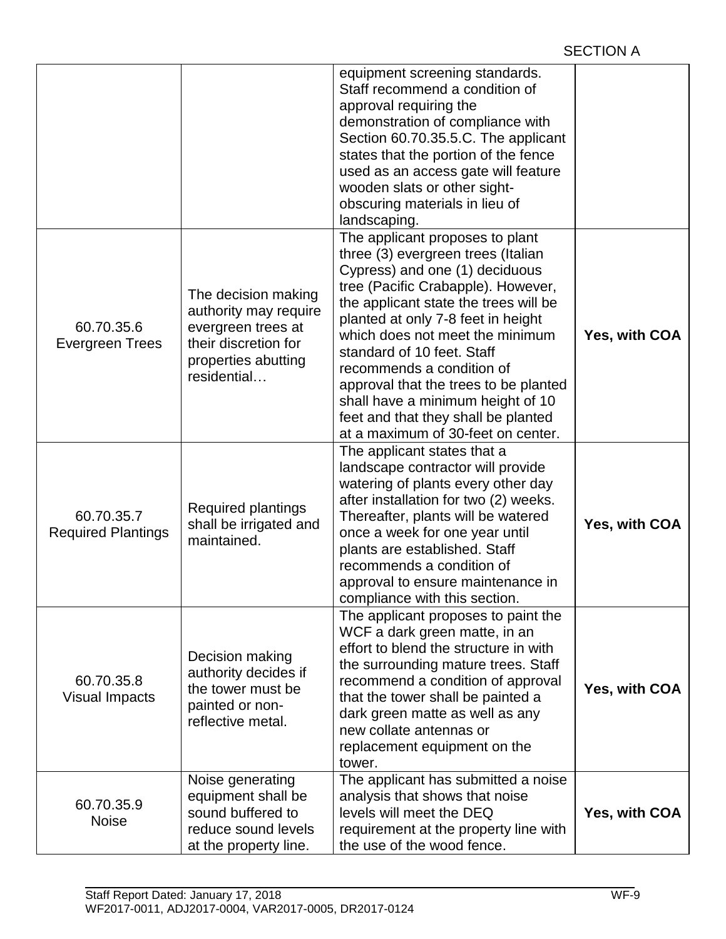|                                         |                                                                                                                                  | equipment screening standards.<br>Staff recommend a condition of<br>approval requiring the<br>demonstration of compliance with<br>Section 60.70.35.5.C. The applicant<br>states that the portion of the fence<br>used as an access gate will feature<br>wooden slats or other sight-<br>obscuring materials in lieu of<br>landscaping.                                                                                                                                                |               |
|-----------------------------------------|----------------------------------------------------------------------------------------------------------------------------------|---------------------------------------------------------------------------------------------------------------------------------------------------------------------------------------------------------------------------------------------------------------------------------------------------------------------------------------------------------------------------------------------------------------------------------------------------------------------------------------|---------------|
| 60.70.35.6<br><b>Evergreen Trees</b>    | The decision making<br>authority may require<br>evergreen trees at<br>their discretion for<br>properties abutting<br>residential | The applicant proposes to plant<br>three (3) evergreen trees (Italian<br>Cypress) and one (1) deciduous<br>tree (Pacific Crabapple). However,<br>the applicant state the trees will be<br>planted at only 7-8 feet in height<br>which does not meet the minimum<br>standard of 10 feet. Staff<br>recommends a condition of<br>approval that the trees to be planted<br>shall have a minimum height of 10<br>feet and that they shall be planted<br>at a maximum of 30-feet on center. | Yes, with COA |
| 60.70.35.7<br><b>Required Plantings</b> | <b>Required plantings</b><br>shall be irrigated and<br>maintained.                                                               | The applicant states that a<br>landscape contractor will provide<br>watering of plants every other day<br>after installation for two (2) weeks.<br>Thereafter, plants will be watered<br>once a week for one year until<br>plants are established. Staff<br>recommends a condition of<br>approval to ensure maintenance in<br>compliance with this section.                                                                                                                           | Yes, with COA |
| 60.70.35.8<br>Visual Impacts            | Decision making<br>authority decides if<br>the tower must be<br>painted or non-<br>reflective metal.                             | The applicant proposes to paint the<br>WCF a dark green matte, in an<br>effort to blend the structure in with<br>the surrounding mature trees. Staff<br>recommend a condition of approval<br>that the tower shall be painted a<br>dark green matte as well as any<br>new collate antennas or<br>replacement equipment on the<br>tower.                                                                                                                                                | Yes, with COA |
| 60.70.35.9<br><b>Noise</b>              | Noise generating<br>equipment shall be<br>sound buffered to<br>reduce sound levels<br>at the property line.                      | The applicant has submitted a noise<br>analysis that shows that noise<br>levels will meet the DEQ<br>requirement at the property line with<br>the use of the wood fence.                                                                                                                                                                                                                                                                                                              | Yes, with COA |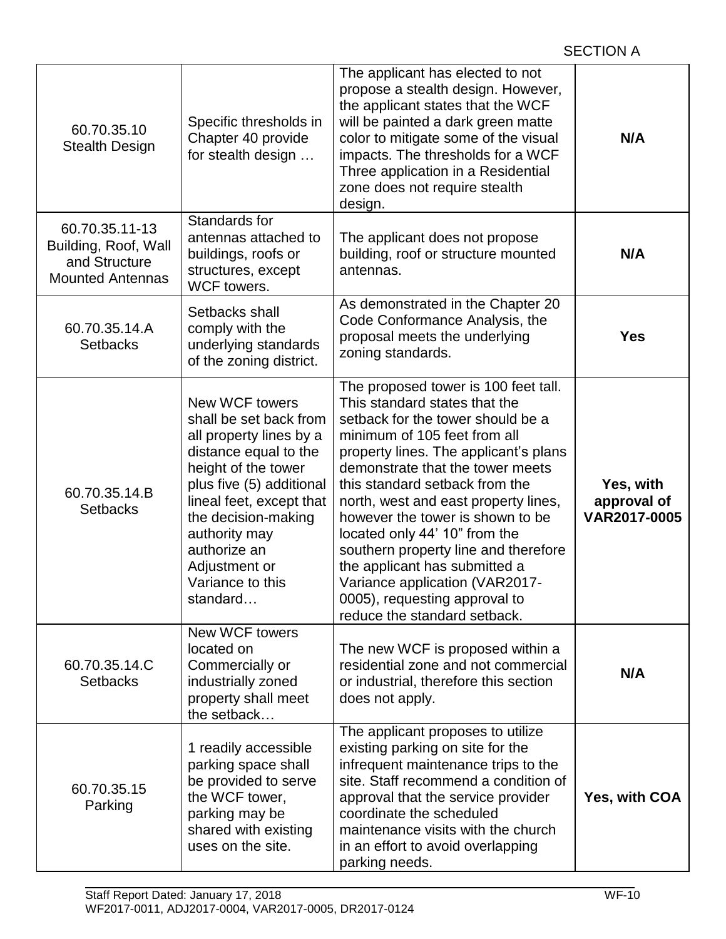| 60.70.35.10<br><b>Stealth Design</b>                                               | Specific thresholds in<br>Chapter 40 provide<br>for stealth design                                                                                                                                                                                                                   | The applicant has elected to not<br>propose a stealth design. However,<br>the applicant states that the WCF<br>will be painted a dark green matte<br>color to mitigate some of the visual<br>impacts. The thresholds for a WCF<br>Three application in a Residential<br>zone does not require stealth<br>design.                                                                                                                                                                                                                                   | N/A                                      |
|------------------------------------------------------------------------------------|--------------------------------------------------------------------------------------------------------------------------------------------------------------------------------------------------------------------------------------------------------------------------------------|----------------------------------------------------------------------------------------------------------------------------------------------------------------------------------------------------------------------------------------------------------------------------------------------------------------------------------------------------------------------------------------------------------------------------------------------------------------------------------------------------------------------------------------------------|------------------------------------------|
| 60.70.35.11-13<br>Building, Roof, Wall<br>and Structure<br><b>Mounted Antennas</b> | Standards for<br>antennas attached to<br>buildings, roofs or<br>structures, except<br>WCF towers.                                                                                                                                                                                    | The applicant does not propose<br>building, roof or structure mounted<br>antennas.                                                                                                                                                                                                                                                                                                                                                                                                                                                                 | N/A                                      |
| 60.70.35.14.A<br><b>Setbacks</b>                                                   | Setbacks shall<br>comply with the<br>underlying standards<br>of the zoning district.                                                                                                                                                                                                 | As demonstrated in the Chapter 20<br>Code Conformance Analysis, the<br>proposal meets the underlying<br>zoning standards.                                                                                                                                                                                                                                                                                                                                                                                                                          | <b>Yes</b>                               |
| 60.70.35.14.B<br><b>Setbacks</b>                                                   | New WCF towers<br>shall be set back from<br>all property lines by a<br>distance equal to the<br>height of the tower<br>plus five (5) additional<br>lineal feet, except that<br>the decision-making<br>authority may<br>authorize an<br>Adjustment or<br>Variance to this<br>standard | The proposed tower is 100 feet tall.<br>This standard states that the<br>setback for the tower should be a<br>minimum of 105 feet from all<br>property lines. The applicant's plans<br>demonstrate that the tower meets<br>this standard setback from the<br>north, west and east property lines,<br>however the tower is shown to be<br>located only 44' 10" from the<br>southern property line and therefore<br>the applicant has submitted a<br>Variance application (VAR2017-<br>0005), requesting approval to<br>reduce the standard setback. | Yes, with<br>approval of<br>VAR2017-0005 |
| 60.70.35.14.C<br><b>Setbacks</b>                                                   | <b>New WCF towers</b><br>located on<br>Commercially or<br>industrially zoned<br>property shall meet<br>the setback                                                                                                                                                                   | The new WCF is proposed within a<br>residential zone and not commercial<br>or industrial, therefore this section<br>does not apply.                                                                                                                                                                                                                                                                                                                                                                                                                | N/A                                      |
| 60.70.35.15<br>Parking                                                             | 1 readily accessible<br>parking space shall<br>be provided to serve<br>the WCF tower,<br>parking may be<br>shared with existing<br>uses on the site.                                                                                                                                 | The applicant proposes to utilize<br>existing parking on site for the<br>infrequent maintenance trips to the<br>site. Staff recommend a condition of<br>approval that the service provider<br>coordinate the scheduled<br>maintenance visits with the church<br>in an effort to avoid overlapping<br>parking needs.                                                                                                                                                                                                                                | Yes, with COA                            |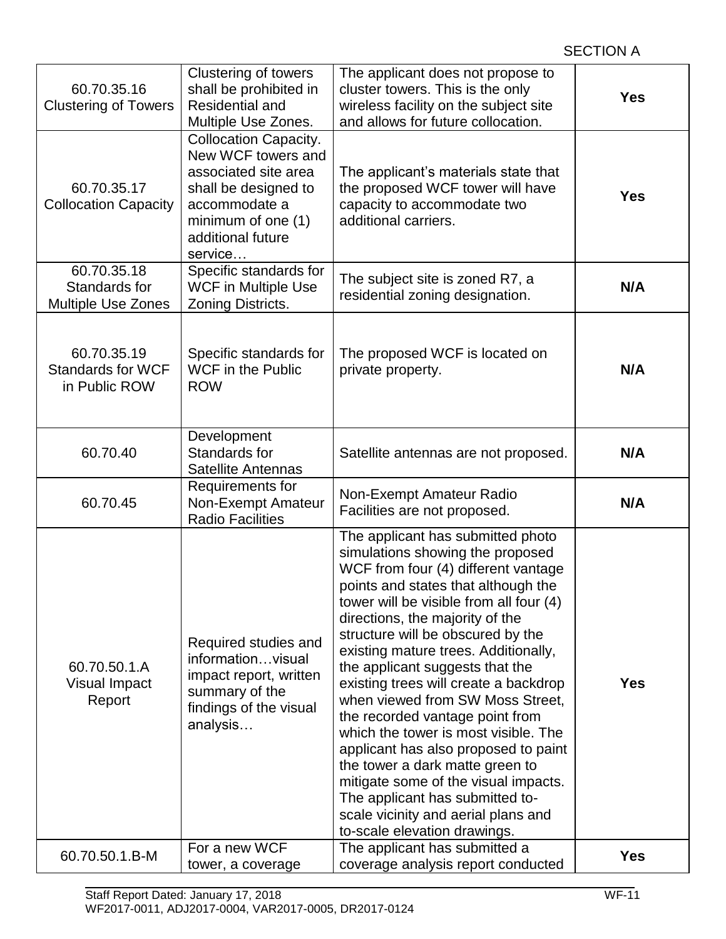| 60.70.35.16<br><b>Clustering of Towers</b>                | <b>Clustering of towers</b><br>shall be prohibited in<br><b>Residential and</b><br>Multiple Use Zones.                                                                    | The applicant does not propose to<br>cluster towers. This is the only<br>wireless facility on the subject site<br>and allows for future collocation.                                                                                                                                                                                                                                                                                                                                                                                                                                                                                                                                                                                   | <b>Yes</b> |
|-----------------------------------------------------------|---------------------------------------------------------------------------------------------------------------------------------------------------------------------------|----------------------------------------------------------------------------------------------------------------------------------------------------------------------------------------------------------------------------------------------------------------------------------------------------------------------------------------------------------------------------------------------------------------------------------------------------------------------------------------------------------------------------------------------------------------------------------------------------------------------------------------------------------------------------------------------------------------------------------------|------------|
| 60.70.35.17<br><b>Collocation Capacity</b>                | <b>Collocation Capacity.</b><br>New WCF towers and<br>associated site area<br>shall be designed to<br>accommodate a<br>minimum of one (1)<br>additional future<br>service | The applicant's materials state that<br>the proposed WCF tower will have<br>capacity to accommodate two<br>additional carriers.                                                                                                                                                                                                                                                                                                                                                                                                                                                                                                                                                                                                        | <b>Yes</b> |
| 60.70.35.18<br>Standards for<br><b>Multiple Use Zones</b> | Specific standards for<br><b>WCF</b> in Multiple Use<br>Zoning Districts.                                                                                                 | The subject site is zoned R7, a<br>residential zoning designation.                                                                                                                                                                                                                                                                                                                                                                                                                                                                                                                                                                                                                                                                     | N/A        |
| 60.70.35.19<br><b>Standards for WCF</b><br>in Public ROW  | Specific standards for<br><b>WCF</b> in the Public<br><b>ROW</b>                                                                                                          | The proposed WCF is located on<br>private property.                                                                                                                                                                                                                                                                                                                                                                                                                                                                                                                                                                                                                                                                                    | N/A        |
| 60.70.40                                                  | Development<br>Standards for<br>Satellite Antennas                                                                                                                        | Satellite antennas are not proposed.                                                                                                                                                                                                                                                                                                                                                                                                                                                                                                                                                                                                                                                                                                   | N/A        |
| 60.70.45                                                  | Requirements for<br>Non-Exempt Amateur<br><b>Radio Facilities</b>                                                                                                         | Non-Exempt Amateur Radio<br>Facilities are not proposed.                                                                                                                                                                                                                                                                                                                                                                                                                                                                                                                                                                                                                                                                               | N/A        |
| 60.70.50.1.A<br><b>Visual Impact</b><br>Report            | Required studies and<br>informationvisual<br>impact report, written<br>summary of the<br>findings of the visual<br>analysis                                               | The applicant has submitted photo<br>simulations showing the proposed<br>WCF from four (4) different vantage<br>points and states that although the<br>tower will be visible from all four (4)<br>directions, the majority of the<br>structure will be obscured by the<br>existing mature trees. Additionally,<br>the applicant suggests that the<br>existing trees will create a backdrop<br>when viewed from SW Moss Street,<br>the recorded vantage point from<br>which the tower is most visible. The<br>applicant has also proposed to paint<br>the tower a dark matte green to<br>mitigate some of the visual impacts.<br>The applicant has submitted to-<br>scale vicinity and aerial plans and<br>to-scale elevation drawings. | <b>Yes</b> |
| 60.70.50.1.B-M                                            | For a new WCF<br>tower, a coverage                                                                                                                                        | The applicant has submitted a<br>coverage analysis report conducted                                                                                                                                                                                                                                                                                                                                                                                                                                                                                                                                                                                                                                                                    | <b>Yes</b> |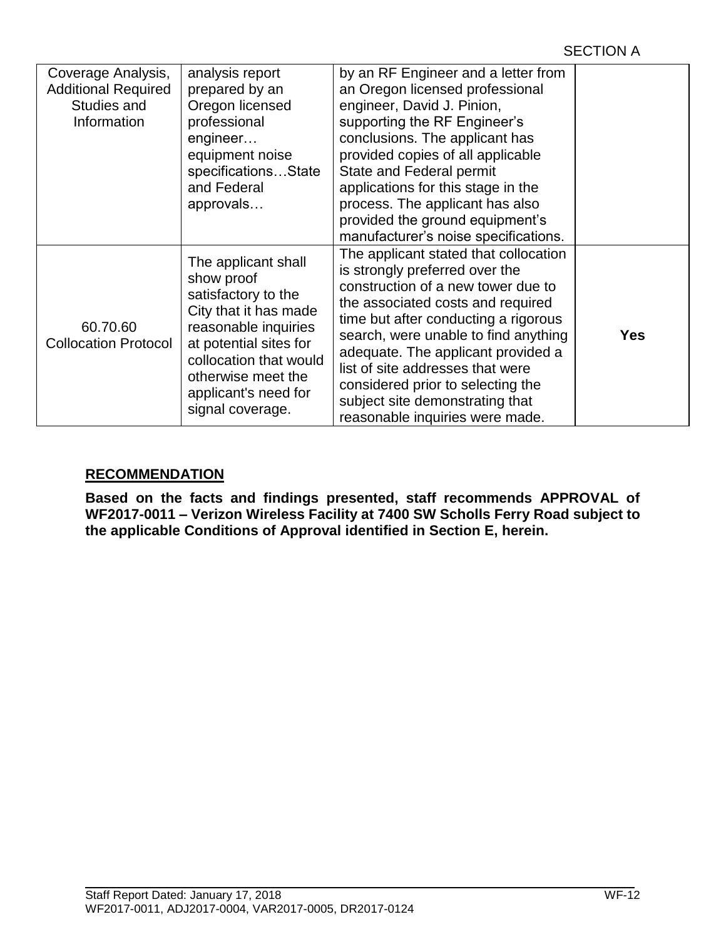| Coverage Analysis,<br><b>Additional Required</b><br>Studies and<br>Information | analysis report<br>prepared by an<br>Oregon licensed<br>professional<br>engineer<br>equipment noise<br>specificationsState<br>and Federal<br>approvals                                                                          | by an RF Engineer and a letter from<br>an Oregon licensed professional<br>engineer, David J. Pinion,<br>supporting the RF Engineer's<br>conclusions. The applicant has<br>provided copies of all applicable<br><b>State and Federal permit</b><br>applications for this stage in the<br>process. The applicant has also<br>provided the ground equipment's<br>manufacturer's noise specifications.                      |            |
|--------------------------------------------------------------------------------|---------------------------------------------------------------------------------------------------------------------------------------------------------------------------------------------------------------------------------|-------------------------------------------------------------------------------------------------------------------------------------------------------------------------------------------------------------------------------------------------------------------------------------------------------------------------------------------------------------------------------------------------------------------------|------------|
| 60.70.60<br><b>Collocation Protocol</b>                                        | The applicant shall<br>show proof<br>satisfactory to the<br>City that it has made<br>reasonable inquiries<br>at potential sites for<br>collocation that would<br>otherwise meet the<br>applicant's need for<br>signal coverage. | The applicant stated that collocation<br>is strongly preferred over the<br>construction of a new tower due to<br>the associated costs and required<br>time but after conducting a rigorous<br>search, were unable to find anything<br>adequate. The applicant provided a<br>list of site addresses that were<br>considered prior to selecting the<br>subject site demonstrating that<br>reasonable inquiries were made. | <b>Yes</b> |

# **RECOMMENDATION**

**Based on the facts and findings presented, staff recommends APPROVAL of WF2017-0011 – Verizon Wireless Facility at 7400 SW Scholls Ferry Road subject to the applicable Conditions of Approval identified in Section E, herein.**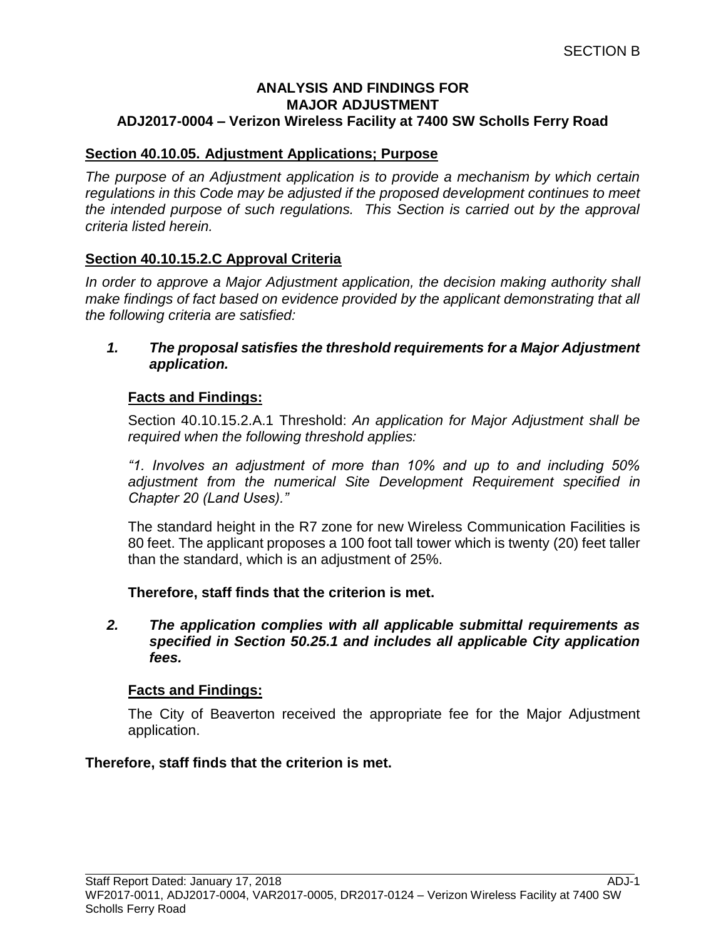## **ANALYSIS AND FINDINGS FOR MAJOR ADJUSTMENT ADJ2017-0004 – Verizon Wireless Facility at 7400 SW Scholls Ferry Road**

# **Section 40.10.05. Adjustment Applications; Purpose**

*The purpose of an Adjustment application is to provide a mechanism by which certain regulations in this Code may be adjusted if the proposed development continues to meet the intended purpose of such regulations. This Section is carried out by the approval criteria listed herein.*

# **Section 40.10.15.2.C Approval Criteria**

*In order to approve a Major Adjustment application, the decision making authority shall make findings of fact based on evidence provided by the applicant demonstrating that all the following criteria are satisfied:*

*1. The proposal satisfies the threshold requirements for a Major Adjustment application.*

# **Facts and Findings:**

Section 40.10.15.2.A.1 Threshold: *An application for Major Adjustment shall be required when the following threshold applies:*

*"1. Involves an adjustment of more than 10% and up to and including 50% adjustment from the numerical Site Development Requirement specified in Chapter 20 (Land Uses)."*

The standard height in the R7 zone for new Wireless Communication Facilities is 80 feet. The applicant proposes a 100 foot tall tower which is twenty (20) feet taller than the standard, which is an adjustment of 25%.

**Therefore, staff finds that the criterion is met.**

*2. The application complies with all applicable submittal requirements as specified in Section 50.25.1 and includes all applicable City application fees.*

# **Facts and Findings:**

The City of Beaverton received the appropriate fee for the Major Adjustment application.

# **Therefore, staff finds that the criterion is met.**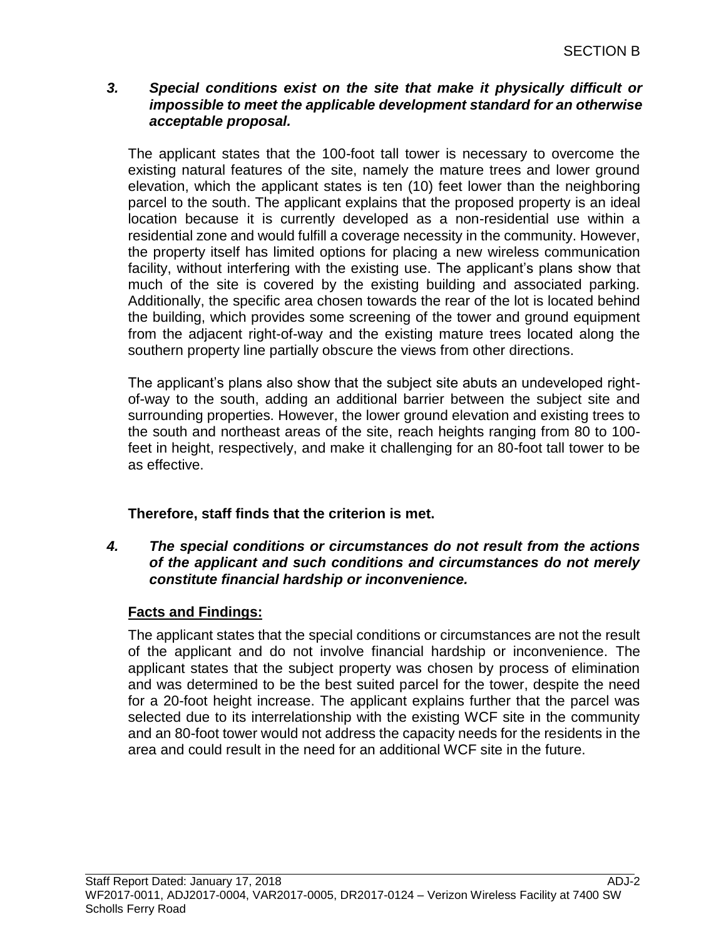# *3. Special conditions exist on the site that make it physically difficult or impossible to meet the applicable development standard for an otherwise acceptable proposal.*

The applicant states that the 100-foot tall tower is necessary to overcome the existing natural features of the site, namely the mature trees and lower ground elevation, which the applicant states is ten (10) feet lower than the neighboring parcel to the south. The applicant explains that the proposed property is an ideal location because it is currently developed as a non-residential use within a residential zone and would fulfill a coverage necessity in the community. However, the property itself has limited options for placing a new wireless communication facility, without interfering with the existing use. The applicant's plans show that much of the site is covered by the existing building and associated parking. Additionally, the specific area chosen towards the rear of the lot is located behind the building, which provides some screening of the tower and ground equipment from the adjacent right-of-way and the existing mature trees located along the southern property line partially obscure the views from other directions.

The applicant's plans also show that the subject site abuts an undeveloped rightof-way to the south, adding an additional barrier between the subject site and surrounding properties. However, the lower ground elevation and existing trees to the south and northeast areas of the site, reach heights ranging from 80 to 100 feet in height, respectively, and make it challenging for an 80-foot tall tower to be as effective.

# **Therefore, staff finds that the criterion is met.**

# *4. The special conditions or circumstances do not result from the actions of the applicant and such conditions and circumstances do not merely constitute financial hardship or inconvenience.*

# **Facts and Findings:**

The applicant states that the special conditions or circumstances are not the result of the applicant and do not involve financial hardship or inconvenience. The applicant states that the subject property was chosen by process of elimination and was determined to be the best suited parcel for the tower, despite the need for a 20-foot height increase. The applicant explains further that the parcel was selected due to its interrelationship with the existing WCF site in the community and an 80-foot tower would not address the capacity needs for the residents in the area and could result in the need for an additional WCF site in the future.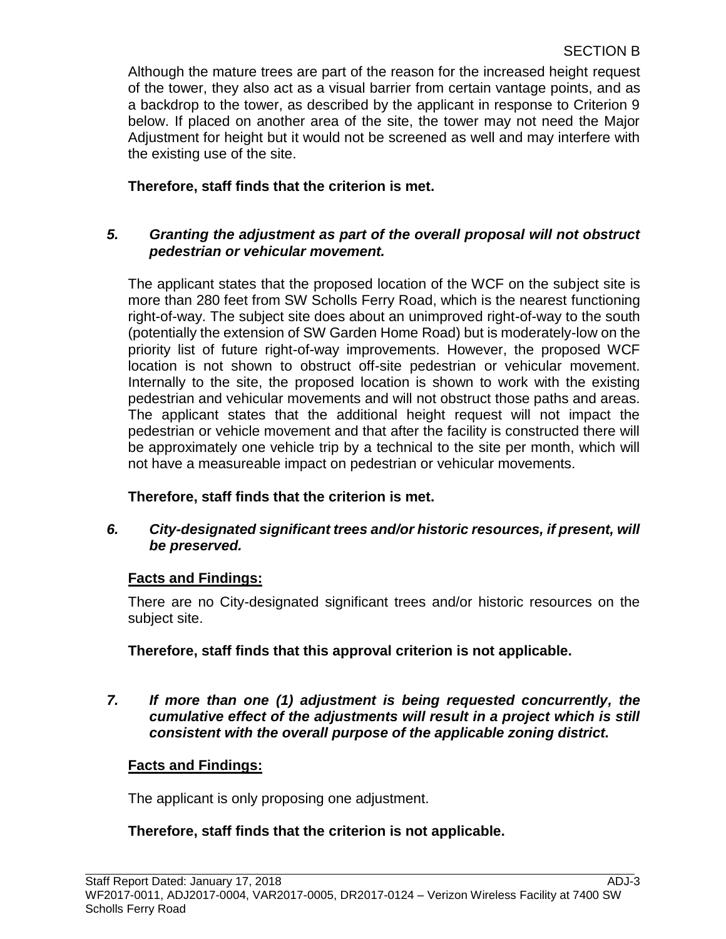Although the mature trees are part of the reason for the increased height request of the tower, they also act as a visual barrier from certain vantage points, and as a backdrop to the tower, as described by the applicant in response to Criterion 9 below. If placed on another area of the site, the tower may not need the Major Adjustment for height but it would not be screened as well and may interfere with the existing use of the site.

# **Therefore, staff finds that the criterion is met.**

# *5. Granting the adjustment as part of the overall proposal will not obstruct pedestrian or vehicular movement.*

The applicant states that the proposed location of the WCF on the subject site is more than 280 feet from SW Scholls Ferry Road, which is the nearest functioning right-of-way. The subject site does about an unimproved right-of-way to the south (potentially the extension of SW Garden Home Road) but is moderately-low on the priority list of future right-of-way improvements. However, the proposed WCF location is not shown to obstruct off-site pedestrian or vehicular movement. Internally to the site, the proposed location is shown to work with the existing pedestrian and vehicular movements and will not obstruct those paths and areas. The applicant states that the additional height request will not impact the pedestrian or vehicle movement and that after the facility is constructed there will be approximately one vehicle trip by a technical to the site per month, which will not have a measureable impact on pedestrian or vehicular movements.

# **Therefore, staff finds that the criterion is met.**

# *6. City-designated significant trees and/or historic resources, if present, will be preserved.*

# **Facts and Findings:**

There are no City-designated significant trees and/or historic resources on the subject site.

**Therefore, staff finds that this approval criterion is not applicable.**

*7. If more than one (1) adjustment is being requested concurrently, the cumulative effect of the adjustments will result in a project which is still consistent with the overall purpose of the applicable zoning district.*

# **Facts and Findings:**

The applicant is only proposing one adjustment.

# **Therefore, staff finds that the criterion is not applicable.**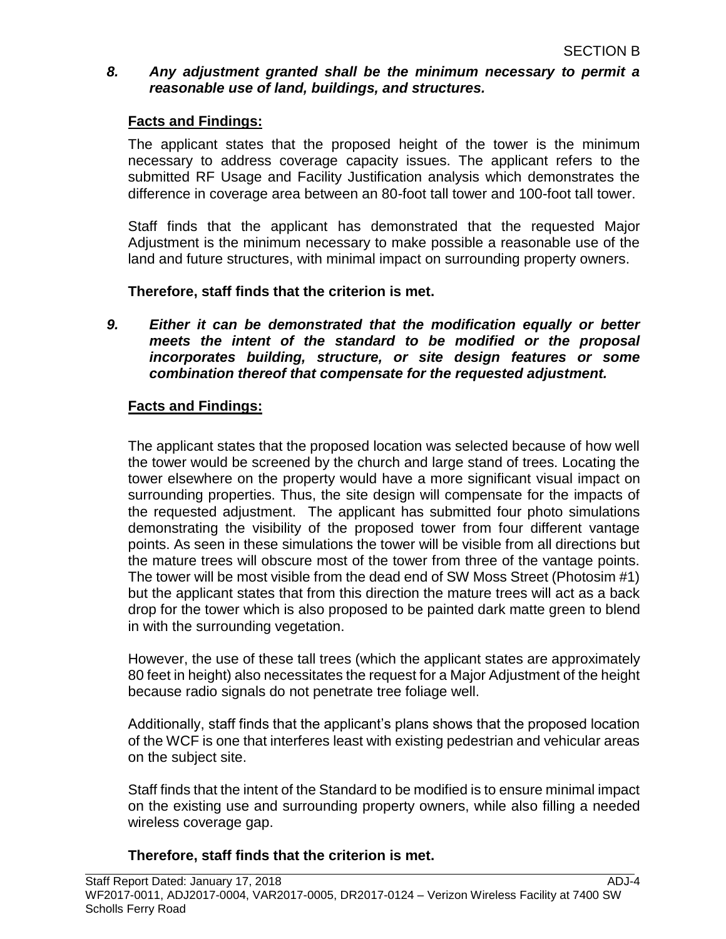# *8. Any adjustment granted shall be the minimum necessary to permit a reasonable use of land, buildings, and structures.*

# **Facts and Findings:**

The applicant states that the proposed height of the tower is the minimum necessary to address coverage capacity issues. The applicant refers to the submitted RF Usage and Facility Justification analysis which demonstrates the difference in coverage area between an 80-foot tall tower and 100-foot tall tower.

Staff finds that the applicant has demonstrated that the requested Major Adjustment is the minimum necessary to make possible a reasonable use of the land and future structures, with minimal impact on surrounding property owners.

# **Therefore, staff finds that the criterion is met.**

*9. Either it can be demonstrated that the modification equally or better meets the intent of the standard to be modified or the proposal incorporates building, structure, or site design features or some combination thereof that compensate for the requested adjustment.* 

# **Facts and Findings:**

The applicant states that the proposed location was selected because of how well the tower would be screened by the church and large stand of trees. Locating the tower elsewhere on the property would have a more significant visual impact on surrounding properties. Thus, the site design will compensate for the impacts of the requested adjustment. The applicant has submitted four photo simulations demonstrating the visibility of the proposed tower from four different vantage points. As seen in these simulations the tower will be visible from all directions but the mature trees will obscure most of the tower from three of the vantage points. The tower will be most visible from the dead end of SW Moss Street (Photosim #1) but the applicant states that from this direction the mature trees will act as a back drop for the tower which is also proposed to be painted dark matte green to blend in with the surrounding vegetation.

However, the use of these tall trees (which the applicant states are approximately 80 feet in height) also necessitates the request for a Major Adjustment of the height because radio signals do not penetrate tree foliage well.

Additionally, staff finds that the applicant's plans shows that the proposed location of the WCF is one that interferes least with existing pedestrian and vehicular areas on the subject site.

Staff finds that the intent of the Standard to be modified is to ensure minimal impact on the existing use and surrounding property owners, while also filling a needed wireless coverage gap.

### **Therefore, staff finds that the criterion is met.**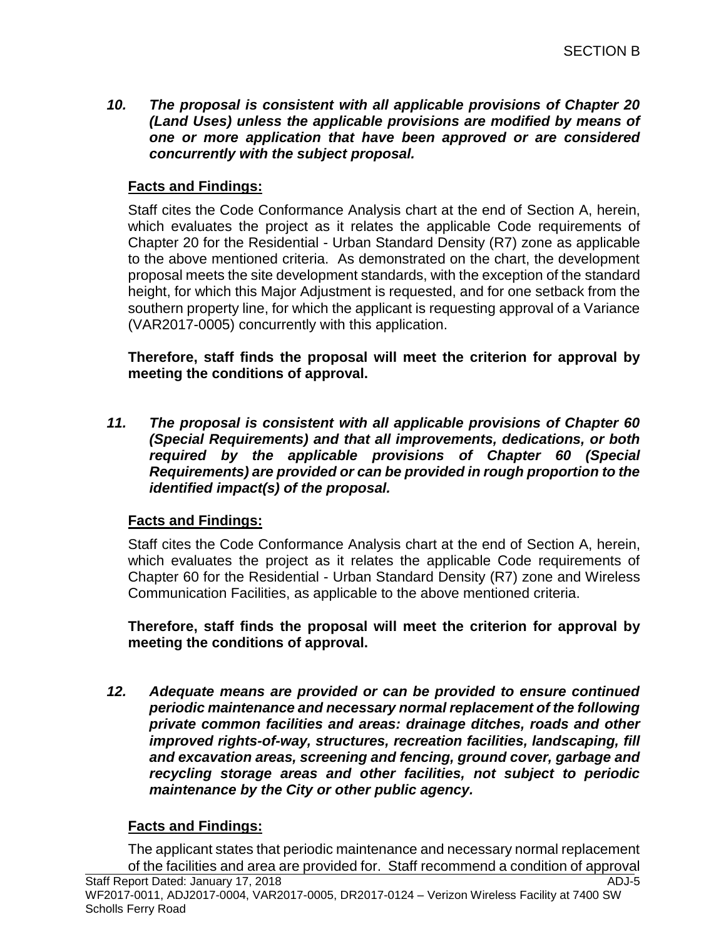*10. The proposal is consistent with all applicable provisions of Chapter 20 (Land Uses) unless the applicable provisions are modified by means of one or more application that have been approved or are considered concurrently with the subject proposal.*

# **Facts and Findings:**

Staff cites the Code Conformance Analysis chart at the end of Section A, herein, which evaluates the project as it relates the applicable Code requirements of Chapter 20 for the Residential - Urban Standard Density (R7) zone as applicable to the above mentioned criteria. As demonstrated on the chart, the development proposal meets the site development standards, with the exception of the standard height, for which this Major Adjustment is requested, and for one setback from the southern property line, for which the applicant is requesting approval of a Variance (VAR2017-0005) concurrently with this application.

**Therefore, staff finds the proposal will meet the criterion for approval by meeting the conditions of approval.**

*11. The proposal is consistent with all applicable provisions of Chapter 60 (Special Requirements) and that all improvements, dedications, or both required by the applicable provisions of Chapter 60 (Special Requirements) are provided or can be provided in rough proportion to the identified impact(s) of the proposal.*

# **Facts and Findings:**

Staff cites the Code Conformance Analysis chart at the end of Section A, herein, which evaluates the project as it relates the applicable Code requirements of Chapter 60 for the Residential - Urban Standard Density (R7) zone and Wireless Communication Facilities, as applicable to the above mentioned criteria.

**Therefore, staff finds the proposal will meet the criterion for approval by meeting the conditions of approval.**

*12. Adequate means are provided or can be provided to ensure continued periodic maintenance and necessary normal replacement of the following private common facilities and areas: drainage ditches, roads and other improved rights-of-way, structures, recreation facilities, landscaping, fill and excavation areas, screening and fencing, ground cover, garbage and recycling storage areas and other facilities, not subject to periodic maintenance by the City or other public agency.*

# **Facts and Findings:**

Staff Report Dated: January 17, 2018 ADJ-5 The applicant states that periodic maintenance and necessary normal replacement of the facilities and area are provided for. Staff recommend a condition of approval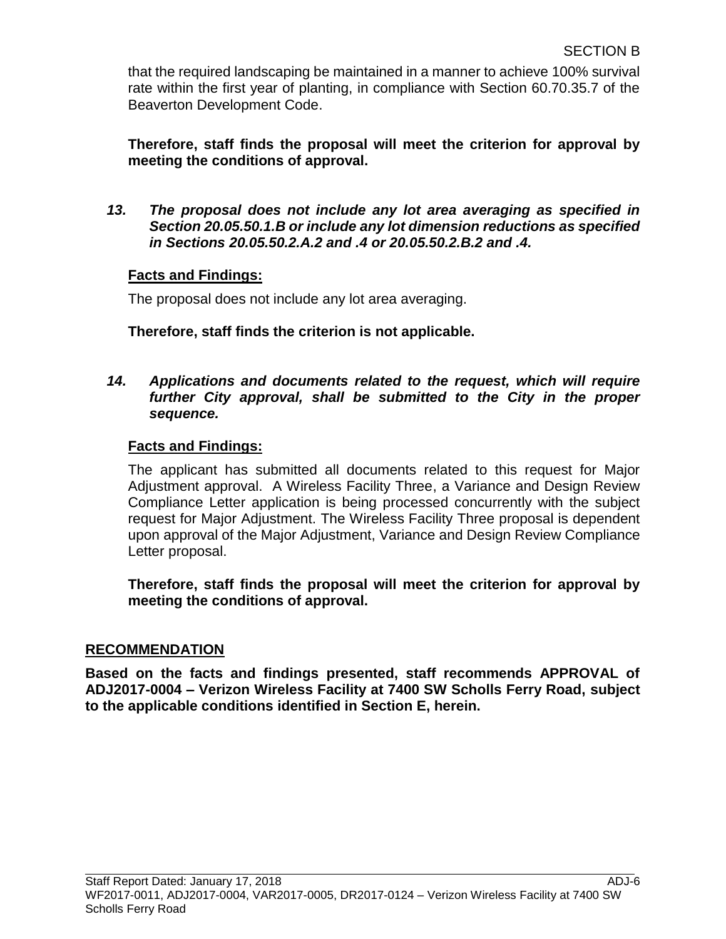that the required landscaping be maintained in a manner to achieve 100% survival rate within the first year of planting, in compliance with Section 60.70.35.7 of the Beaverton Development Code.

**Therefore, staff finds the proposal will meet the criterion for approval by meeting the conditions of approval.**

*13. The proposal does not include any lot area averaging as specified in Section 20.05.50.1.B or include any lot dimension reductions as specified in Sections 20.05.50.2.A.2 and .4 or 20.05.50.2.B.2 and .4.*

# **Facts and Findings:**

The proposal does not include any lot area averaging.

**Therefore, staff finds the criterion is not applicable.**

*14. Applications and documents related to the request, which will require further City approval, shall be submitted to the City in the proper sequence.*

# **Facts and Findings:**

The applicant has submitted all documents related to this request for Major Adjustment approval. A Wireless Facility Three, a Variance and Design Review Compliance Letter application is being processed concurrently with the subject request for Major Adjustment. The Wireless Facility Three proposal is dependent upon approval of the Major Adjustment, Variance and Design Review Compliance Letter proposal.

**Therefore, staff finds the proposal will meet the criterion for approval by meeting the conditions of approval.**

# **RECOMMENDATION**

**Based on the facts and findings presented, staff recommends APPROVAL of ADJ2017-0004 – Verizon Wireless Facility at 7400 SW Scholls Ferry Road, subject to the applicable conditions identified in Section E, herein.**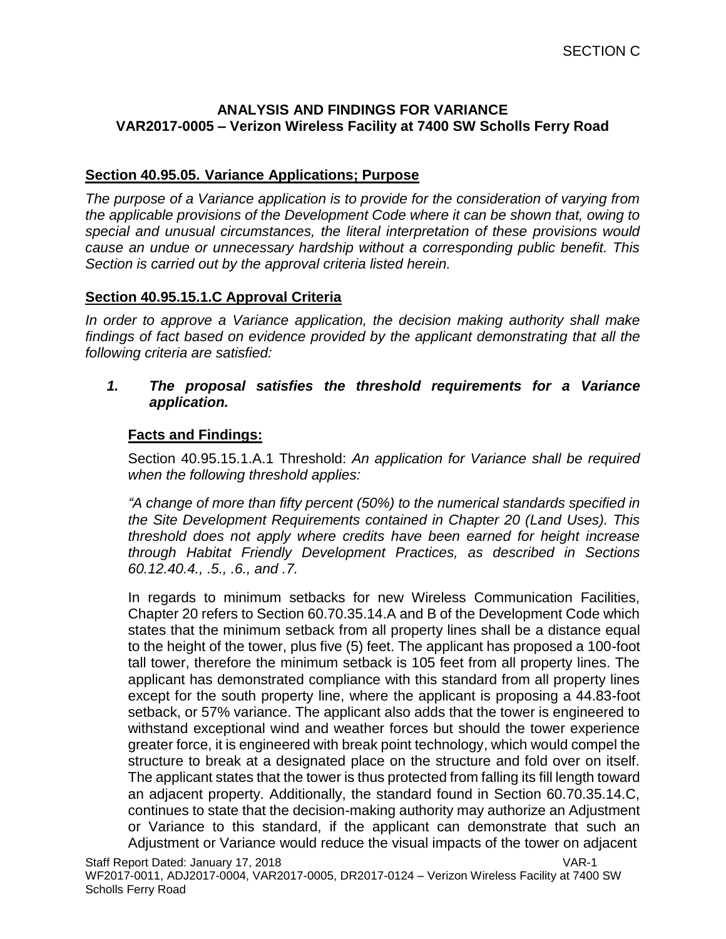## **ANALYSIS AND FINDINGS FOR VARIANCE VAR2017-0005 – Verizon Wireless Facility at 7400 SW Scholls Ferry Road**

# **Section 40.95.05. Variance Applications; Purpose**

*The purpose of a Variance application is to provide for the consideration of varying from the applicable provisions of the Development Code where it can be shown that, owing to special and unusual circumstances, the literal interpretation of these provisions would cause an undue or unnecessary hardship without a corresponding public benefit. This Section is carried out by the approval criteria listed herein.*

### **Section 40.95.15.1.C Approval Criteria**

*In order to approve a Variance application, the decision making authority shall make findings of fact based on evidence provided by the applicant demonstrating that all the following criteria are satisfied:*

### *1. The proposal satisfies the threshold requirements for a Variance application.*

# **Facts and Findings:**

Section 40.95.15.1.A.1 Threshold: *An application for Variance shall be required when the following threshold applies:*

*"A change of more than fifty percent (50%) to the numerical standards specified in the Site Development Requirements contained in Chapter 20 (Land Uses). This threshold does not apply where credits have been earned for height increase through Habitat Friendly Development Practices, as described in Sections 60.12.40.4., .5., .6., and .7.*

In regards to minimum setbacks for new Wireless Communication Facilities, Chapter 20 refers to Section 60.70.35.14.A and B of the Development Code which states that the minimum setback from all property lines shall be a distance equal to the height of the tower, plus five (5) feet. The applicant has proposed a 100-foot tall tower, therefore the minimum setback is 105 feet from all property lines. The applicant has demonstrated compliance with this standard from all property lines except for the south property line, where the applicant is proposing a 44.83-foot setback, or 57% variance. The applicant also adds that the tower is engineered to withstand exceptional wind and weather forces but should the tower experience greater force, it is engineered with break point technology, which would compel the structure to break at a designated place on the structure and fold over on itself. The applicant states that the tower is thus protected from falling its fill length toward an adjacent property. Additionally, the standard found in Section 60.70.35.14.C, continues to state that the decision-making authority may authorize an Adjustment or Variance to this standard, if the applicant can demonstrate that such an Adjustment or Variance would reduce the visual impacts of the tower on adjacent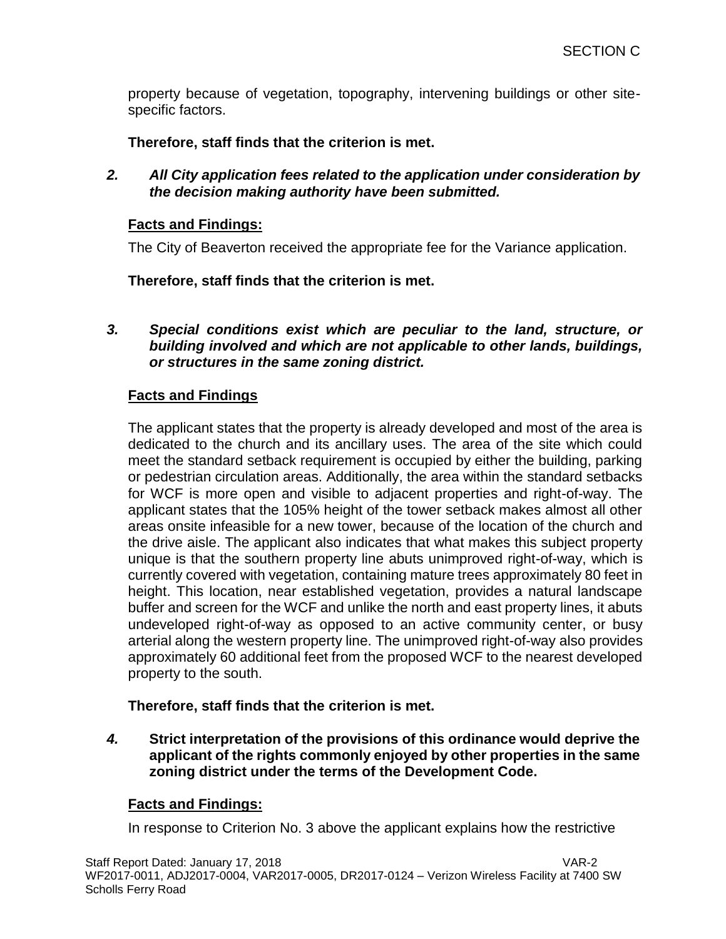property because of vegetation, topography, intervening buildings or other sitespecific factors.

**Therefore, staff finds that the criterion is met.**

*2. All City application fees related to the application under consideration by the decision making authority have been submitted.*

# **Facts and Findings:**

The City of Beaverton received the appropriate fee for the Variance application.

**Therefore, staff finds that the criterion is met.**

*3. Special conditions exist which are peculiar to the land, structure, or building involved and which are not applicable to other lands, buildings, or structures in the same zoning district.*

# **Facts and Findings**

The applicant states that the property is already developed and most of the area is dedicated to the church and its ancillary uses. The area of the site which could meet the standard setback requirement is occupied by either the building, parking or pedestrian circulation areas. Additionally, the area within the standard setbacks for WCF is more open and visible to adjacent properties and right-of-way. The applicant states that the 105% height of the tower setback makes almost all other areas onsite infeasible for a new tower, because of the location of the church and the drive aisle. The applicant also indicates that what makes this subject property unique is that the southern property line abuts unimproved right-of-way, which is currently covered with vegetation, containing mature trees approximately 80 feet in height. This location, near established vegetation, provides a natural landscape buffer and screen for the WCF and unlike the north and east property lines, it abuts undeveloped right-of-way as opposed to an active community center, or busy arterial along the western property line. The unimproved right-of-way also provides approximately 60 additional feet from the proposed WCF to the nearest developed property to the south.

**Therefore, staff finds that the criterion is met.**

*4.* **Strict interpretation of the provisions of this ordinance would deprive the applicant of the rights commonly enjoyed by other properties in the same zoning district under the terms of the Development Code.**

# **Facts and Findings:**

In response to Criterion No. 3 above the applicant explains how the restrictive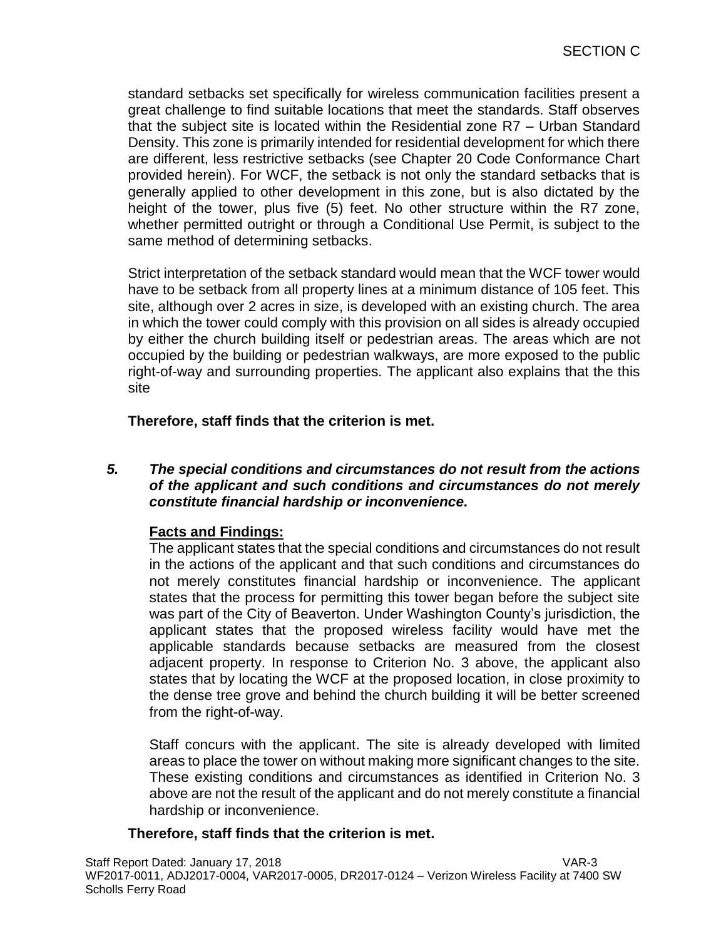standard setbacks set specifically for wireless communication facilities present a great challenge to find suitable locations that meet the standards. Staff observes that the subject site is located within the Residential zone R7 – Urban Standard Density. This zone is primarily intended for residential development for which there are different, less restrictive setbacks (see Chapter 20 Code Conformance Chart provided herein). For WCF, the setback is not only the standard setbacks that is generally applied to other development in this zone, but is also dictated by the height of the tower, plus five (5) feet. No other structure within the R7 zone, whether permitted outright or through a Conditional Use Permit, is subject to the same method of determining setbacks.

Strict interpretation of the setback standard would mean that the WCF tower would have to be setback from all property lines at a minimum distance of 105 feet. This site, although over 2 acres in size, is developed with an existing church. The area in which the tower could comply with this provision on all sides is already occupied by either the church building itself or pedestrian areas. The areas which are not occupied by the building or pedestrian walkways, are more exposed to the public right-of-way and surrounding properties. The applicant also explains that the this site

# **Therefore, staff finds that the criterion is met.**

*5. The special conditions and circumstances do not result from the actions of the applicant and such conditions and circumstances do not merely constitute financial hardship or inconvenience.*

# **Facts and Findings:**

The applicant states that the special conditions and circumstances do not result in the actions of the applicant and that such conditions and circumstances do not merely constitutes financial hardship or inconvenience. The applicant states that the process for permitting this tower began before the subject site was part of the City of Beaverton. Under Washington County's jurisdiction, the applicant states that the proposed wireless facility would have met the applicable standards because setbacks are measured from the closest adjacent property. In response to Criterion No. 3 above, the applicant also states that by locating the WCF at the proposed location, in close proximity to the dense tree grove and behind the church building it will be better screened from the right-of-way.

Staff concurs with the applicant. The site is already developed with limited areas to place the tower on without making more significant changes to the site. These existing conditions and circumstances as identified in Criterion No. 3 above are not the result of the applicant and do not merely constitute a financial hardship or inconvenience.

# **Therefore, staff finds that the criterion is met.**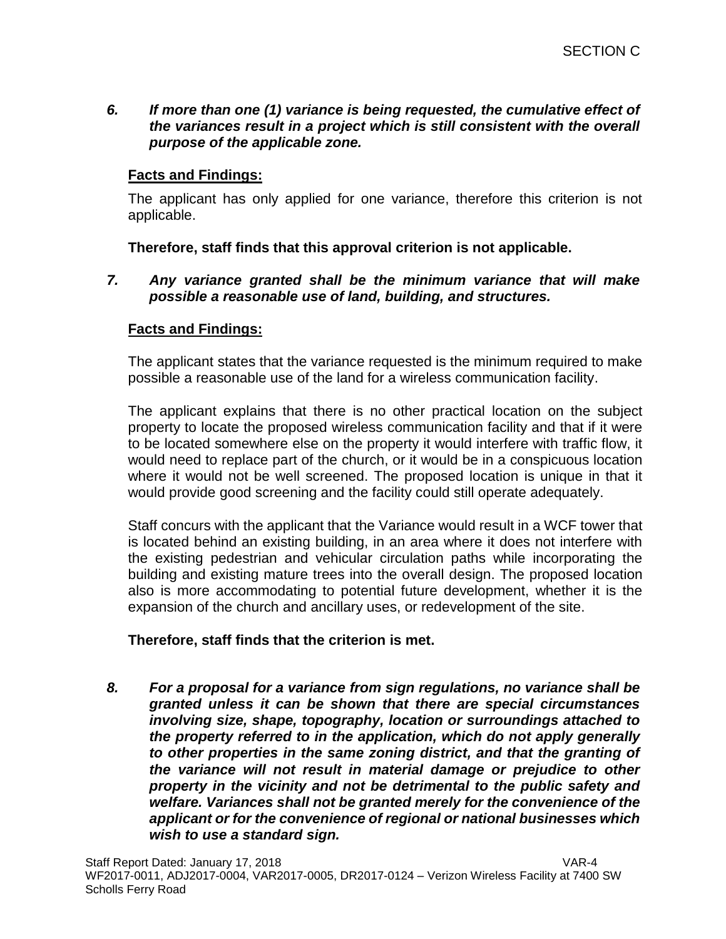*6. If more than one (1) variance is being requested, the cumulative effect of the variances result in a project which is still consistent with the overall purpose of the applicable zone.*

# **Facts and Findings:**

The applicant has only applied for one variance, therefore this criterion is not applicable.

**Therefore, staff finds that this approval criterion is not applicable.**

*7. Any variance granted shall be the minimum variance that will make possible a reasonable use of land, building, and structures.*

# **Facts and Findings:**

The applicant states that the variance requested is the minimum required to make possible a reasonable use of the land for a wireless communication facility.

The applicant explains that there is no other practical location on the subject property to locate the proposed wireless communication facility and that if it were to be located somewhere else on the property it would interfere with traffic flow, it would need to replace part of the church, or it would be in a conspicuous location where it would not be well screened. The proposed location is unique in that it would provide good screening and the facility could still operate adequately.

Staff concurs with the applicant that the Variance would result in a WCF tower that is located behind an existing building, in an area where it does not interfere with the existing pedestrian and vehicular circulation paths while incorporating the building and existing mature trees into the overall design. The proposed location also is more accommodating to potential future development, whether it is the expansion of the church and ancillary uses, or redevelopment of the site.

### **Therefore, staff finds that the criterion is met.**

*8. For a proposal for a variance from sign regulations, no variance shall be granted unless it can be shown that there are special circumstances involving size, shape, topography, location or surroundings attached to the property referred to in the application, which do not apply generally to other properties in the same zoning district, and that the granting of the variance will not result in material damage or prejudice to other property in the vicinity and not be detrimental to the public safety and welfare. Variances shall not be granted merely for the convenience of the applicant or for the convenience of regional or national businesses which wish to use a standard sign.*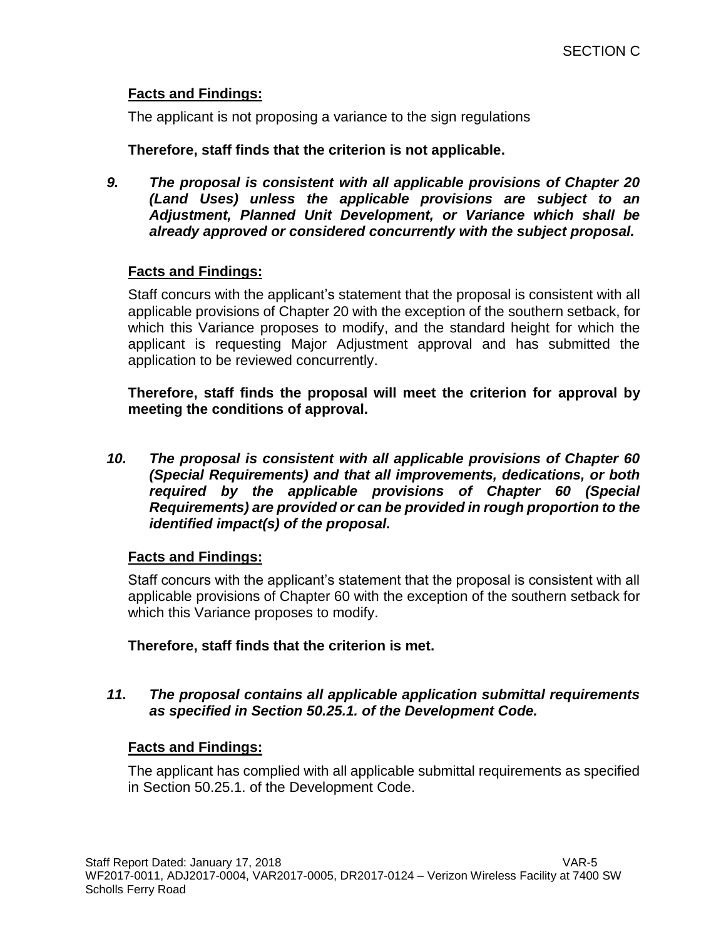# **Facts and Findings:**

The applicant is not proposing a variance to the sign regulations

### **Therefore, staff finds that the criterion is not applicable.**

*9. The proposal is consistent with all applicable provisions of Chapter 20 (Land Uses) unless the applicable provisions are subject to an Adjustment, Planned Unit Development, or Variance which shall be already approved or considered concurrently with the subject proposal.*

# **Facts and Findings:**

Staff concurs with the applicant's statement that the proposal is consistent with all applicable provisions of Chapter 20 with the exception of the southern setback, for which this Variance proposes to modify, and the standard height for which the applicant is requesting Major Adjustment approval and has submitted the application to be reviewed concurrently.

**Therefore, staff finds the proposal will meet the criterion for approval by meeting the conditions of approval.**

*10. The proposal is consistent with all applicable provisions of Chapter 60 (Special Requirements) and that all improvements, dedications, or both required by the applicable provisions of Chapter 60 (Special Requirements) are provided or can be provided in rough proportion to the identified impact(s) of the proposal.*

### **Facts and Findings:**

Staff concurs with the applicant's statement that the proposal is consistent with all applicable provisions of Chapter 60 with the exception of the southern setback for which this Variance proposes to modify.

**Therefore, staff finds that the criterion is met.**

### *11. The proposal contains all applicable application submittal requirements as specified in Section 50.25.1. of the Development Code.*

### **Facts and Findings:**

The applicant has complied with all applicable submittal requirements as specified in Section 50.25.1. of the Development Code.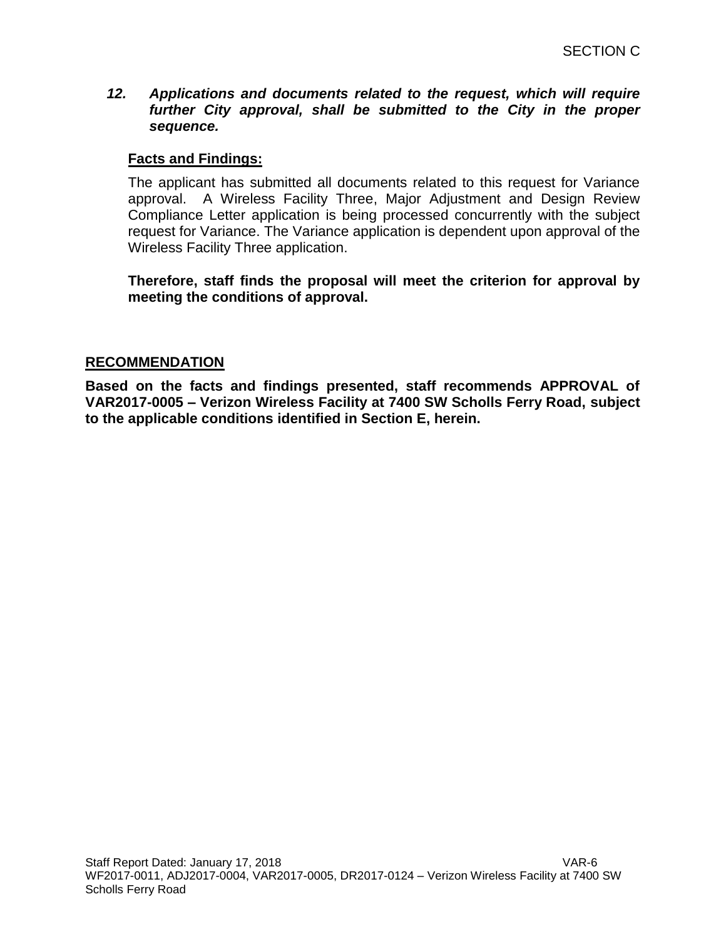*12. Applications and documents related to the request, which will require further City approval, shall be submitted to the City in the proper sequence.*

## **Facts and Findings:**

The applicant has submitted all documents related to this request for Variance approval. A Wireless Facility Three, Major Adjustment and Design Review Compliance Letter application is being processed concurrently with the subject request for Variance. The Variance application is dependent upon approval of the Wireless Facility Three application.

**Therefore, staff finds the proposal will meet the criterion for approval by meeting the conditions of approval.**

### **RECOMMENDATION**

**Based on the facts and findings presented, staff recommends APPROVAL of VAR2017-0005 – Verizon Wireless Facility at 7400 SW Scholls Ferry Road, subject to the applicable conditions identified in Section E, herein.**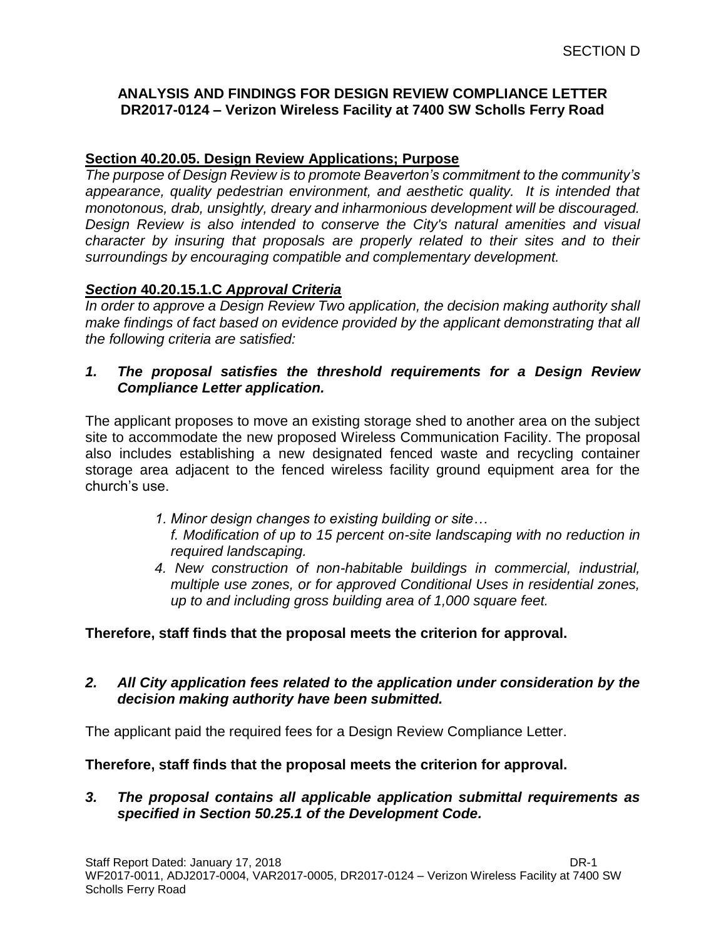## **ANALYSIS AND FINDINGS FOR DESIGN REVIEW COMPLIANCE LETTER DR2017-0124 – Verizon Wireless Facility at 7400 SW Scholls Ferry Road**

# **Section 40.20.05. Design Review Applications; Purpose**

*The purpose of Design Review is to promote Beaverton's commitment to the community's appearance, quality pedestrian environment, and aesthetic quality. It is intended that monotonous, drab, unsightly, dreary and inharmonious development will be discouraged. Design Review is also intended to conserve the City's natural amenities and visual character by insuring that proposals are properly related to their sites and to their surroundings by encouraging compatible and complementary development.*

# *Section* **40.20.15.1.C** *Approval Criteria*

*In order to approve a Design Review Two application, the decision making authority shall make findings of fact based on evidence provided by the applicant demonstrating that all the following criteria are satisfied:*

### *1. The proposal satisfies the threshold requirements for a Design Review Compliance Letter application.*

The applicant proposes to move an existing storage shed to another area on the subject site to accommodate the new proposed Wireless Communication Facility. The proposal also includes establishing a new designated fenced waste and recycling container storage area adjacent to the fenced wireless facility ground equipment area for the church's use.

- *1. Minor design changes to existing building or site… f. Modification of up to 15 percent on-site landscaping with no reduction in required landscaping.*
- *4. New construction of non-habitable buildings in commercial, industrial, multiple use zones, or for approved Conditional Uses in residential zones, up to and including gross building area of 1,000 square feet.*

### **Therefore, staff finds that the proposal meets the criterion for approval.**

# *2. All City application fees related to the application under consideration by the decision making authority have been submitted.*

The applicant paid the required fees for a Design Review Compliance Letter.

### **Therefore, staff finds that the proposal meets the criterion for approval.**

### *3. The proposal contains all applicable application submittal requirements as specified in Section 50.25.1 of the Development Code.*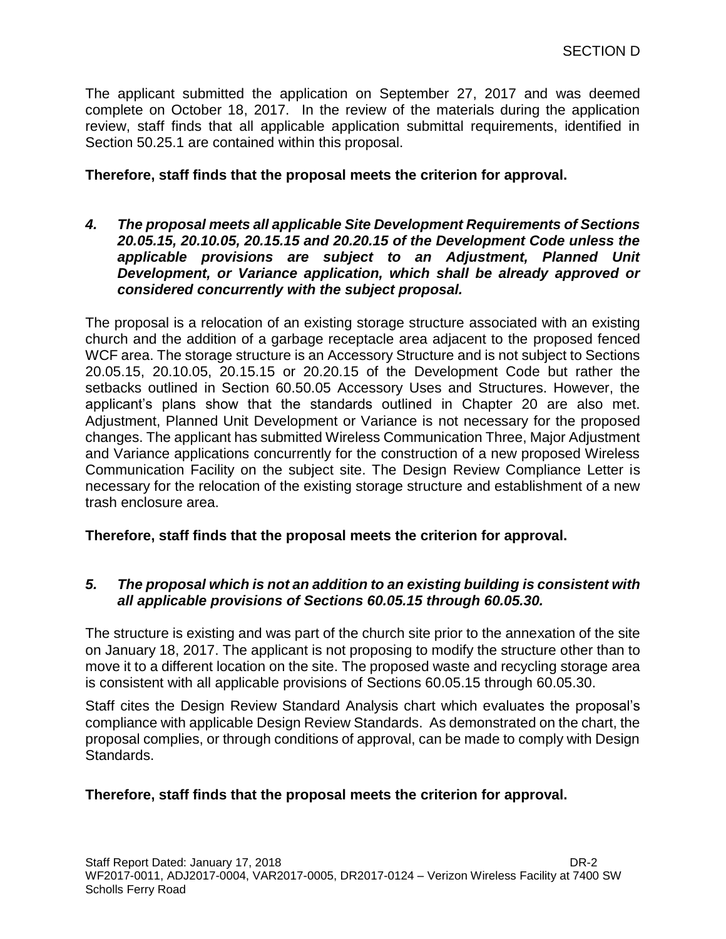The applicant submitted the application on September 27, 2017 and was deemed complete on October 18, 2017. In the review of the materials during the application review, staff finds that all applicable application submittal requirements, identified in Section 50.25.1 are contained within this proposal.

## **Therefore, staff finds that the proposal meets the criterion for approval.**

*4. The proposal meets all applicable Site Development Requirements of Sections 20.05.15, 20.10.05, 20.15.15 and 20.20.15 of the Development Code unless the applicable provisions are subject to an Adjustment, Planned Unit Development, or Variance application, which shall be already approved or considered concurrently with the subject proposal.*

The proposal is a relocation of an existing storage structure associated with an existing church and the addition of a garbage receptacle area adjacent to the proposed fenced WCF area. The storage structure is an Accessory Structure and is not subject to Sections 20.05.15, 20.10.05, 20.15.15 or 20.20.15 of the Development Code but rather the setbacks outlined in Section 60.50.05 Accessory Uses and Structures. However, the applicant's plans show that the standards outlined in Chapter 20 are also met. Adjustment, Planned Unit Development or Variance is not necessary for the proposed changes. The applicant has submitted Wireless Communication Three, Major Adjustment and Variance applications concurrently for the construction of a new proposed Wireless Communication Facility on the subject site. The Design Review Compliance Letter is necessary for the relocation of the existing storage structure and establishment of a new trash enclosure area.

### **Therefore, staff finds that the proposal meets the criterion for approval.**

### *5. The proposal which is not an addition to an existing building is consistent with all applicable provisions of Sections 60.05.15 through 60.05.30.*

The structure is existing and was part of the church site prior to the annexation of the site on January 18, 2017. The applicant is not proposing to modify the structure other than to move it to a different location on the site. The proposed waste and recycling storage area is consistent with all applicable provisions of Sections 60.05.15 through 60.05.30.

Staff cites the Design Review Standard Analysis chart which evaluates the proposal's compliance with applicable Design Review Standards. As demonstrated on the chart, the proposal complies, or through conditions of approval, can be made to comply with Design Standards.

# **Therefore, staff finds that the proposal meets the criterion for approval.**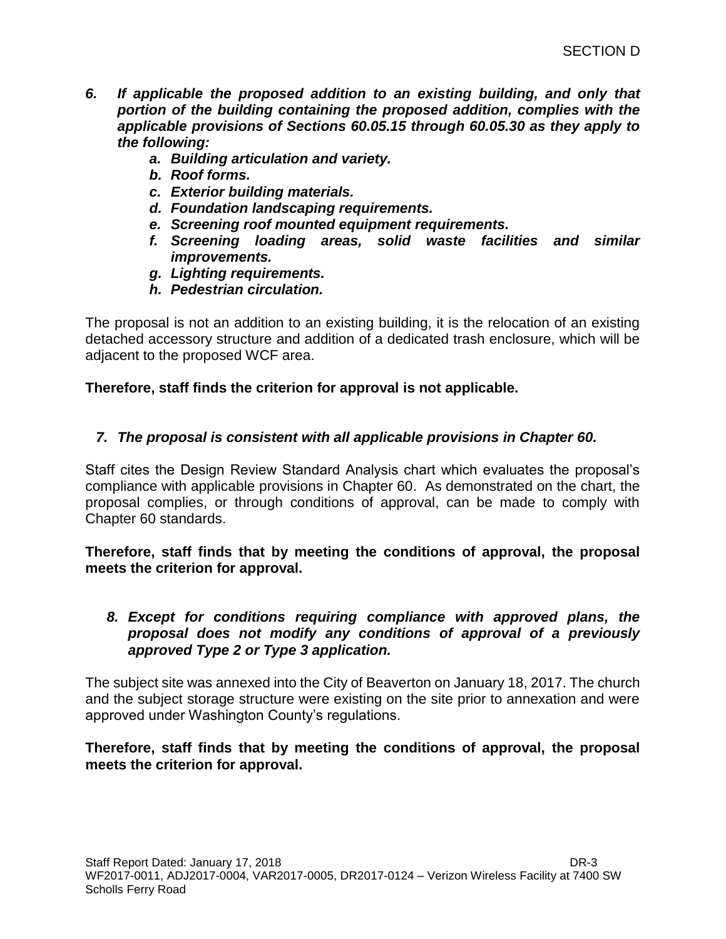- *6. If applicable the proposed addition to an existing building, and only that portion of the building containing the proposed addition, complies with the applicable provisions of Sections 60.05.15 through 60.05.30 as they apply to the following:*
	- *a. Building articulation and variety.*
	- *b. Roof forms.*
	- *c. Exterior building materials.*
	- *d. Foundation landscaping requirements.*
	- *e. Screening roof mounted equipment requirements.*
	- *f. Screening loading areas, solid waste facilities and similar improvements.*
	- *g. Lighting requirements.*
	- *h. Pedestrian circulation.*

The proposal is not an addition to an existing building, it is the relocation of an existing detached accessory structure and addition of a dedicated trash enclosure, which will be adjacent to the proposed WCF area.

**Therefore, staff finds the criterion for approval is not applicable.** 

### *7. The proposal is consistent with all applicable provisions in Chapter 60.*

Staff cites the Design Review Standard Analysis chart which evaluates the proposal's compliance with applicable provisions in Chapter 60. As demonstrated on the chart, the proposal complies, or through conditions of approval, can be made to comply with Chapter 60 standards.

**Therefore, staff finds that by meeting the conditions of approval, the proposal meets the criterion for approval.**

### *8. Except for conditions requiring compliance with approved plans, the proposal does not modify any conditions of approval of a previously approved Type 2 or Type 3 application.*

The subject site was annexed into the City of Beaverton on January 18, 2017. The church and the subject storage structure were existing on the site prior to annexation and were approved under Washington County's regulations.

**Therefore, staff finds that by meeting the conditions of approval, the proposal meets the criterion for approval.**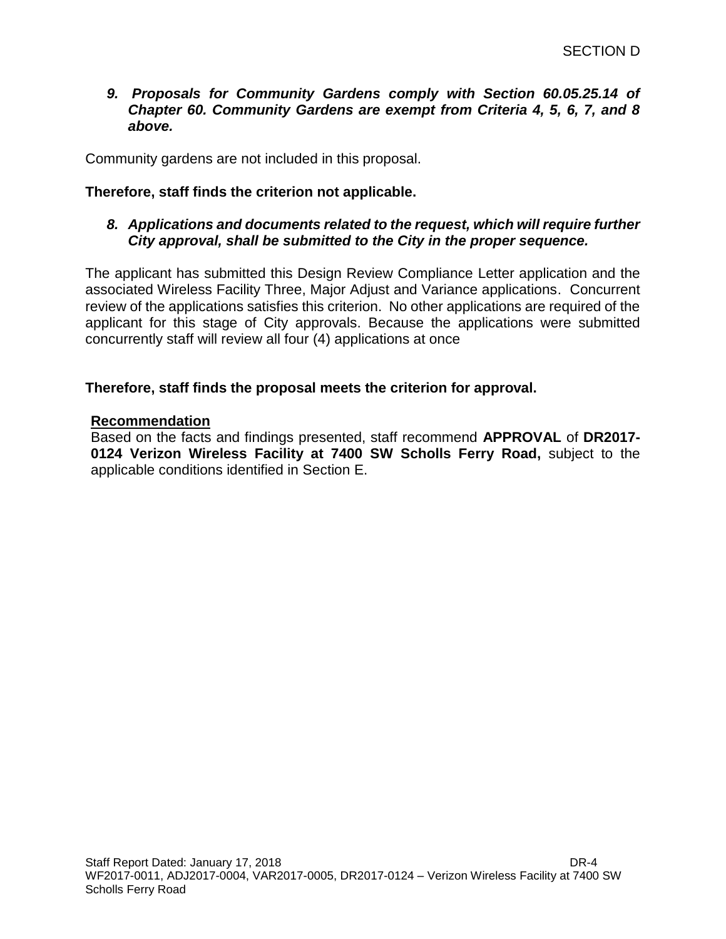### *9. Proposals for Community Gardens comply with Section 60.05.25.14 of Chapter 60. Community Gardens are exempt from Criteria 4, 5, 6, 7, and 8 above.*

Community gardens are not included in this proposal.

## **Therefore, staff finds the criterion not applicable.**

## *8. Applications and documents related to the request, which will require further City approval, shall be submitted to the City in the proper sequence.*

The applicant has submitted this Design Review Compliance Letter application and the associated Wireless Facility Three, Major Adjust and Variance applications. Concurrent review of the applications satisfies this criterion. No other applications are required of the applicant for this stage of City approvals. Because the applications were submitted concurrently staff will review all four (4) applications at once

### **Therefore, staff finds the proposal meets the criterion for approval.**

#### **Recommendation**

Based on the facts and findings presented, staff recommend **APPROVAL** of **DR2017- 0124 Verizon Wireless Facility at 7400 SW Scholls Ferry Road,** subject to the applicable conditions identified in Section E.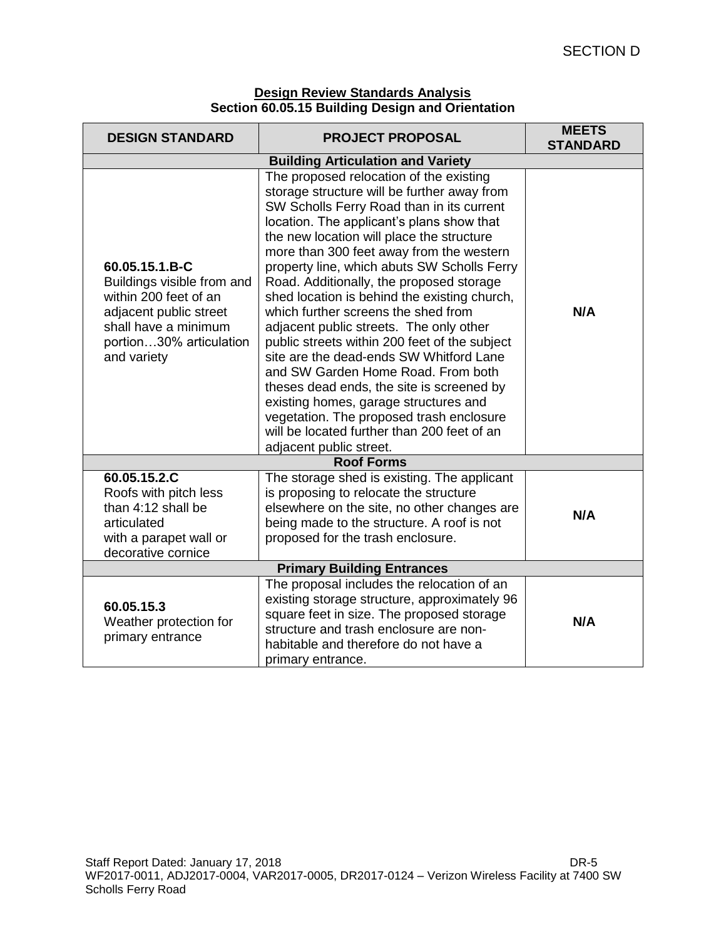| <b>Design Review Standards Analysis</b>          |  |
|--------------------------------------------------|--|
| Section 60.05.15 Building Design and Orientation |  |

| <b>DESIGN STANDARD</b>                                                                                                                                            | <b>PROJECT PROPOSAL</b>                                                                                                                                                                                                                                                                                                                                                                                                                                                                                                                                                                                                                                                                                                                                                                                                                              | <b>MEETS</b><br><b>STANDARD</b> |  |  |
|-------------------------------------------------------------------------------------------------------------------------------------------------------------------|------------------------------------------------------------------------------------------------------------------------------------------------------------------------------------------------------------------------------------------------------------------------------------------------------------------------------------------------------------------------------------------------------------------------------------------------------------------------------------------------------------------------------------------------------------------------------------------------------------------------------------------------------------------------------------------------------------------------------------------------------------------------------------------------------------------------------------------------------|---------------------------------|--|--|
| <b>Building Articulation and Variety</b>                                                                                                                          |                                                                                                                                                                                                                                                                                                                                                                                                                                                                                                                                                                                                                                                                                                                                                                                                                                                      |                                 |  |  |
| 60.05.15.1.B-C<br>Buildings visible from and<br>within 200 feet of an<br>adjacent public street<br>shall have a minimum<br>portion30% articulation<br>and variety | The proposed relocation of the existing<br>storage structure will be further away from<br>SW Scholls Ferry Road than in its current<br>location. The applicant's plans show that<br>the new location will place the structure<br>more than 300 feet away from the western<br>property line, which abuts SW Scholls Ferry<br>Road. Additionally, the proposed storage<br>shed location is behind the existing church,<br>which further screens the shed from<br>adjacent public streets. The only other<br>public streets within 200 feet of the subject<br>site are the dead-ends SW Whitford Lane<br>and SW Garden Home Road. From both<br>theses dead ends, the site is screened by<br>existing homes, garage structures and<br>vegetation. The proposed trash enclosure<br>will be located further than 200 feet of an<br>adjacent public street. | N/A                             |  |  |
| <b>Roof Forms</b>                                                                                                                                                 |                                                                                                                                                                                                                                                                                                                                                                                                                                                                                                                                                                                                                                                                                                                                                                                                                                                      |                                 |  |  |
| 60.05.15.2.C<br>Roofs with pitch less<br>than 4:12 shall be<br>articulated<br>with a parapet wall or<br>decorative cornice                                        | The storage shed is existing. The applicant<br>is proposing to relocate the structure<br>elsewhere on the site, no other changes are<br>being made to the structure. A roof is not<br>proposed for the trash enclosure.                                                                                                                                                                                                                                                                                                                                                                                                                                                                                                                                                                                                                              | N/A                             |  |  |
| <b>Primary Building Entrances</b>                                                                                                                                 |                                                                                                                                                                                                                                                                                                                                                                                                                                                                                                                                                                                                                                                                                                                                                                                                                                                      |                                 |  |  |
| 60.05.15.3<br>Weather protection for<br>primary entrance                                                                                                          | The proposal includes the relocation of an<br>existing storage structure, approximately 96<br>square feet in size. The proposed storage<br>structure and trash enclosure are non-<br>habitable and therefore do not have a<br>primary entrance.                                                                                                                                                                                                                                                                                                                                                                                                                                                                                                                                                                                                      | N/A                             |  |  |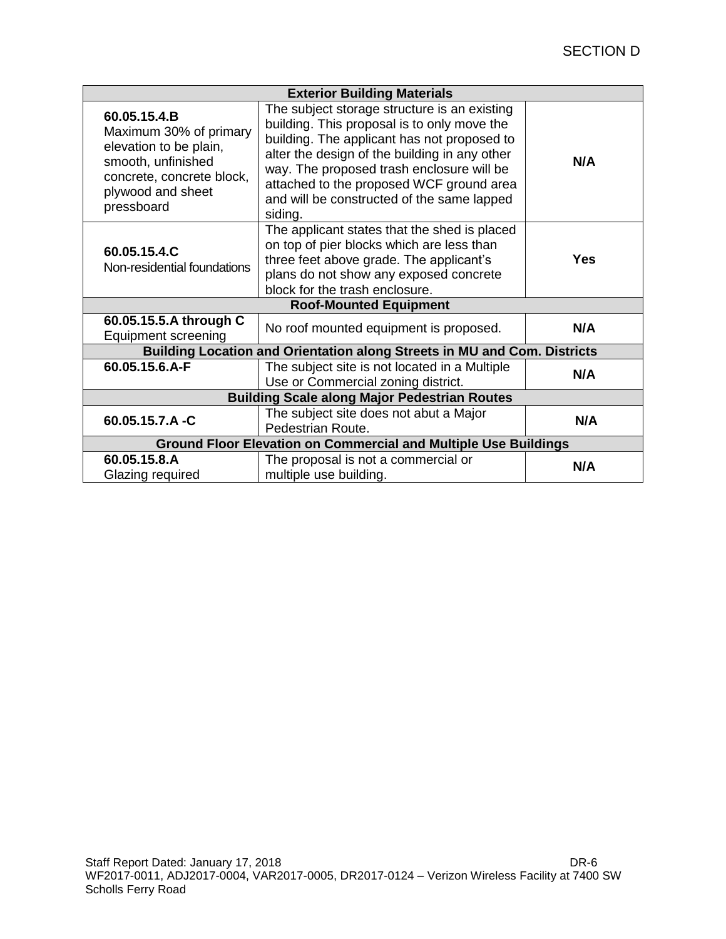| <b>Exterior Building Materials</b>                                                                                                                     |                                                                                                                                                                                                                                                                                                                                               |     |  |  |
|--------------------------------------------------------------------------------------------------------------------------------------------------------|-----------------------------------------------------------------------------------------------------------------------------------------------------------------------------------------------------------------------------------------------------------------------------------------------------------------------------------------------|-----|--|--|
| 60.05.15.4.B<br>Maximum 30% of primary<br>elevation to be plain,<br>smooth, unfinished<br>concrete, concrete block,<br>plywood and sheet<br>pressboard | The subject storage structure is an existing<br>building. This proposal is to only move the<br>building. The applicant has not proposed to<br>alter the design of the building in any other<br>way. The proposed trash enclosure will be<br>attached to the proposed WCF ground area<br>and will be constructed of the same lapped<br>siding. | N/A |  |  |
| 60.05.15.4.C<br>Non-residential foundations                                                                                                            | The applicant states that the shed is placed<br>on top of pier blocks which are less than<br>three feet above grade. The applicant's<br>plans do not show any exposed concrete<br>block for the trash enclosure.                                                                                                                              | Yes |  |  |
| <b>Roof-Mounted Equipment</b>                                                                                                                          |                                                                                                                                                                                                                                                                                                                                               |     |  |  |
| 60.05.15.5.A through C<br><b>Equipment screening</b>                                                                                                   | No roof mounted equipment is proposed.                                                                                                                                                                                                                                                                                                        | N/A |  |  |
| Building Location and Orientation along Streets in MU and Com. Districts                                                                               |                                                                                                                                                                                                                                                                                                                                               |     |  |  |
| 60.05.15.6.A-F                                                                                                                                         | The subject site is not located in a Multiple<br>Use or Commercial zoning district.                                                                                                                                                                                                                                                           | N/A |  |  |
| <b>Building Scale along Major Pedestrian Routes</b>                                                                                                    |                                                                                                                                                                                                                                                                                                                                               |     |  |  |
| 60.05.15.7.A-C                                                                                                                                         | The subject site does not abut a Major<br>Pedestrian Route.                                                                                                                                                                                                                                                                                   | N/A |  |  |
| <b>Ground Floor Elevation on Commercial and Multiple Use Buildings</b>                                                                                 |                                                                                                                                                                                                                                                                                                                                               |     |  |  |
| 60.05.15.8.A<br>Glazing required                                                                                                                       | The proposal is not a commercial or<br>multiple use building.                                                                                                                                                                                                                                                                                 | N/A |  |  |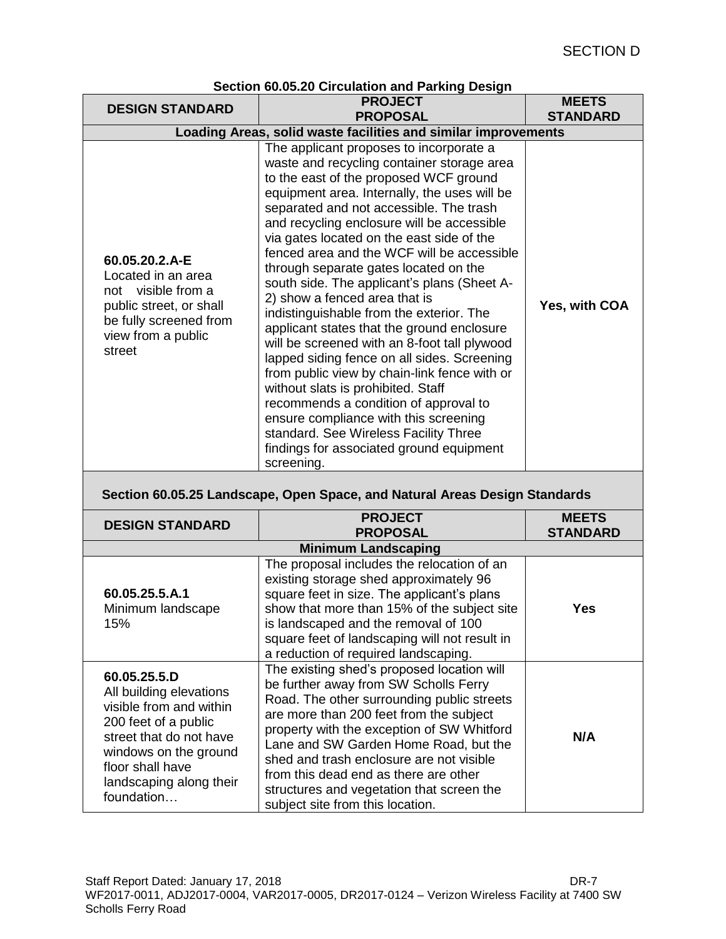| Section 60.05.20 Circulation and Parking Design                                                                                                                    |                                                                                                                                                                                                                                                                                                                                                                                                                                                                                                                                                                                                                                                                                                                                                                                                                                                                                                                                                                  |                                 |  |  |
|--------------------------------------------------------------------------------------------------------------------------------------------------------------------|------------------------------------------------------------------------------------------------------------------------------------------------------------------------------------------------------------------------------------------------------------------------------------------------------------------------------------------------------------------------------------------------------------------------------------------------------------------------------------------------------------------------------------------------------------------------------------------------------------------------------------------------------------------------------------------------------------------------------------------------------------------------------------------------------------------------------------------------------------------------------------------------------------------------------------------------------------------|---------------------------------|--|--|
| <b>DESIGN STANDARD</b>                                                                                                                                             | <b>PROJECT</b>                                                                                                                                                                                                                                                                                                                                                                                                                                                                                                                                                                                                                                                                                                                                                                                                                                                                                                                                                   | <b>MEETS</b>                    |  |  |
|                                                                                                                                                                    | <b>PROPOSAL</b>                                                                                                                                                                                                                                                                                                                                                                                                                                                                                                                                                                                                                                                                                                                                                                                                                                                                                                                                                  | <b>STANDARD</b>                 |  |  |
|                                                                                                                                                                    | Loading Areas, solid waste facilities and similar improvements                                                                                                                                                                                                                                                                                                                                                                                                                                                                                                                                                                                                                                                                                                                                                                                                                                                                                                   |                                 |  |  |
| 60.05.20.2.A-E<br>Located in an area<br>not visible from a<br>public street, or shall<br>be fully screened from<br>view from a public<br>street                    | The applicant proposes to incorporate a<br>waste and recycling container storage area<br>to the east of the proposed WCF ground<br>equipment area. Internally, the uses will be<br>separated and not accessible. The trash<br>and recycling enclosure will be accessible<br>via gates located on the east side of the<br>fenced area and the WCF will be accessible<br>through separate gates located on the<br>south side. The applicant's plans (Sheet A-<br>2) show a fenced area that is<br>indistinguishable from the exterior. The<br>applicant states that the ground enclosure<br>will be screened with an 8-foot tall plywood<br>lapped siding fence on all sides. Screening<br>from public view by chain-link fence with or<br>without slats is prohibited. Staff<br>recommends a condition of approval to<br>ensure compliance with this screening<br>standard. See Wireless Facility Three<br>findings for associated ground equipment<br>screening. | Yes, with COA                   |  |  |
| Section 60.05.25 Landscape, Open Space, and Natural Areas Design Standards                                                                                         |                                                                                                                                                                                                                                                                                                                                                                                                                                                                                                                                                                                                                                                                                                                                                                                                                                                                                                                                                                  |                                 |  |  |
| <b>DESIGN STANDARD</b>                                                                                                                                             | <b>PROJECT</b><br><b>PROPOSAL</b>                                                                                                                                                                                                                                                                                                                                                                                                                                                                                                                                                                                                                                                                                                                                                                                                                                                                                                                                | <b>MEETS</b><br><b>STANDARD</b> |  |  |
|                                                                                                                                                                    | <b>Minimum Landscaping</b>                                                                                                                                                                                                                                                                                                                                                                                                                                                                                                                                                                                                                                                                                                                                                                                                                                                                                                                                       |                                 |  |  |
| 60.05.25.5.A.1<br>Minimum landscape<br>15%                                                                                                                         | The proposal includes the relocation of an<br>existing storage shed approximately 96<br>square feet in size. The applicant's plans<br>show that more than 15% of the subject site<br>is landscaped and the removal of 100<br>square feet of landscaping will not result in<br>a reduction of required landscaping.                                                                                                                                                                                                                                                                                                                                                                                                                                                                                                                                                                                                                                               | <b>Yes</b>                      |  |  |
| 60.05.25.5.D<br>All building elevations<br>visible from and within<br>200 feet of a public<br>street that do not have<br>windows on the ground<br>floor shall have | The existing shed's proposed location will<br>be further away from SW Scholls Ferry<br>Road. The other surrounding public streets<br>are more than 200 feet from the subject<br>property with the exception of SW Whitford<br>Lane and SW Garden Home Road, but the<br>shed and trash enclosure are not visible<br>لمعمر معمولة ممراموم امممام مزولة                                                                                                                                                                                                                                                                                                                                                                                                                                                                                                                                                                                                             | N/A                             |  |  |

**Section 60.05.20 Circulation and Parking Design**

subject site from this location.

from this dead end as there are other structures and vegetation that screen the

landscaping along their

foundation…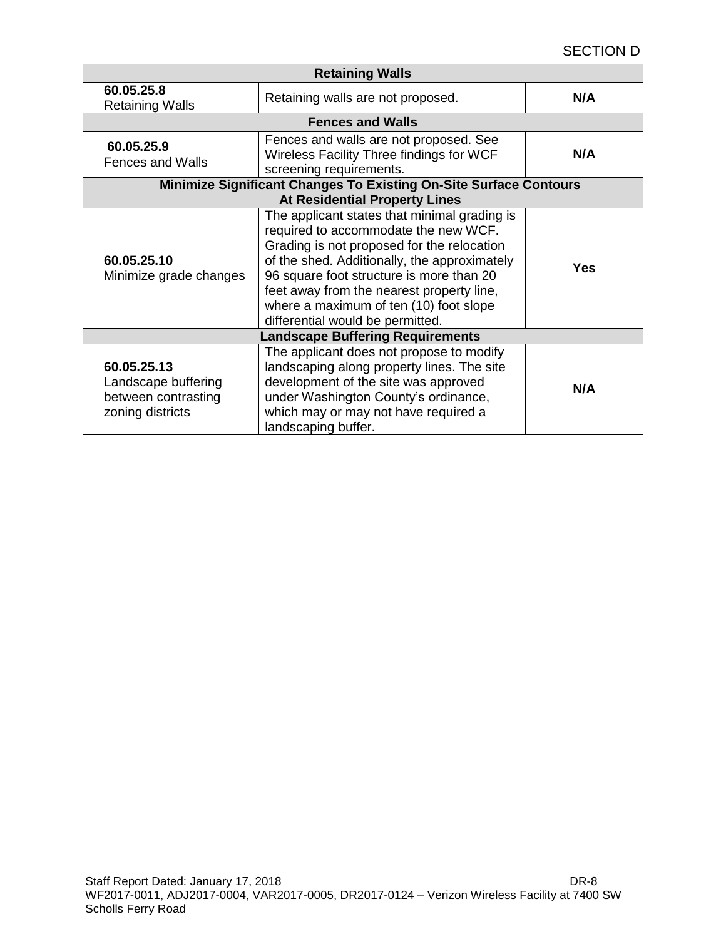## SECTION D

| <b>Retaining Walls</b>                                                        |                                                                                                                                                                                                                                                                                                                                                           |            |  |  |
|-------------------------------------------------------------------------------|-----------------------------------------------------------------------------------------------------------------------------------------------------------------------------------------------------------------------------------------------------------------------------------------------------------------------------------------------------------|------------|--|--|
| 60.05.25.8<br><b>Retaining Walls</b>                                          | Retaining walls are not proposed.                                                                                                                                                                                                                                                                                                                         | N/A        |  |  |
| <b>Fences and Walls</b>                                                       |                                                                                                                                                                                                                                                                                                                                                           |            |  |  |
| 60.05.25.9<br><b>Fences and Walls</b>                                         | Fences and walls are not proposed. See<br>Wireless Facility Three findings for WCF<br>screening requirements.                                                                                                                                                                                                                                             | N/A        |  |  |
| Minimize Significant Changes To Existing On-Site Surface Contours             |                                                                                                                                                                                                                                                                                                                                                           |            |  |  |
|                                                                               | <b>At Residential Property Lines</b>                                                                                                                                                                                                                                                                                                                      |            |  |  |
| 60.05.25.10<br>Minimize grade changes                                         | The applicant states that minimal grading is<br>required to accommodate the new WCF.<br>Grading is not proposed for the relocation<br>of the shed. Additionally, the approximately<br>96 square foot structure is more than 20<br>feet away from the nearest property line,<br>where a maximum of ten (10) foot slope<br>differential would be permitted. | <b>Yes</b> |  |  |
| <b>Landscape Buffering Requirements</b>                                       |                                                                                                                                                                                                                                                                                                                                                           |            |  |  |
| 60.05.25.13<br>Landscape buffering<br>between contrasting<br>zoning districts | The applicant does not propose to modify<br>landscaping along property lines. The site<br>development of the site was approved<br>under Washington County's ordinance,<br>which may or may not have required a<br>landscaping buffer.                                                                                                                     | N/A        |  |  |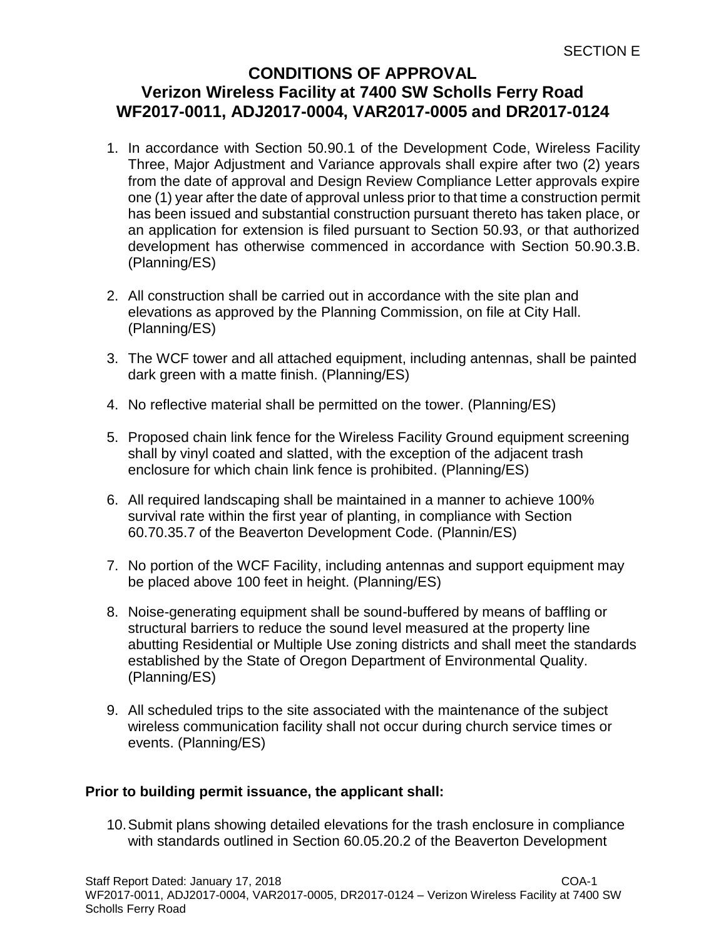# **CONDITIONS OF APPROVAL Verizon Wireless Facility at 7400 SW Scholls Ferry Road WF2017-0011, ADJ2017-0004, VAR2017-0005 and DR2017-0124**

- 1. In accordance with Section 50.90.1 of the Development Code, Wireless Facility Three, Major Adjustment and Variance approvals shall expire after two (2) years from the date of approval and Design Review Compliance Letter approvals expire one (1) year after the date of approval unless prior to that time a construction permit has been issued and substantial construction pursuant thereto has taken place, or an application for extension is filed pursuant to Section 50.93, or that authorized development has otherwise commenced in accordance with Section 50.90.3.B. (Planning/ES)
- 2. All construction shall be carried out in accordance with the site plan and elevations as approved by the Planning Commission, on file at City Hall. (Planning/ES)
- 3. The WCF tower and all attached equipment, including antennas, shall be painted dark green with a matte finish. (Planning/ES)
- 4. No reflective material shall be permitted on the tower. (Planning/ES)
- 5. Proposed chain link fence for the Wireless Facility Ground equipment screening shall by vinyl coated and slatted, with the exception of the adjacent trash enclosure for which chain link fence is prohibited. (Planning/ES)
- 6. All required landscaping shall be maintained in a manner to achieve 100% survival rate within the first year of planting, in compliance with Section 60.70.35.7 of the Beaverton Development Code. (Plannin/ES)
- 7. No portion of the WCF Facility, including antennas and support equipment may be placed above 100 feet in height. (Planning/ES)
- 8. Noise-generating equipment shall be sound-buffered by means of baffling or structural barriers to reduce the sound level measured at the property line abutting Residential or Multiple Use zoning districts and shall meet the standards established by the State of Oregon Department of Environmental Quality. (Planning/ES)
- 9. All scheduled trips to the site associated with the maintenance of the subject wireless communication facility shall not occur during church service times or events. (Planning/ES)

# **Prior to building permit issuance, the applicant shall:**

10.Submit plans showing detailed elevations for the trash enclosure in compliance with standards outlined in Section 60.05.20.2 of the Beaverton Development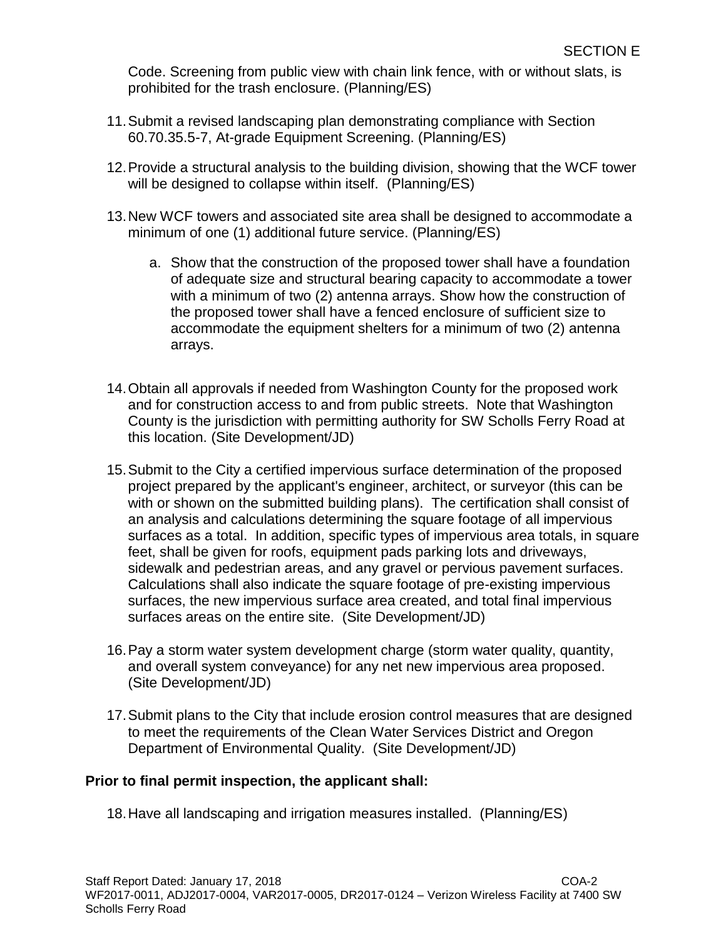Code. Screening from public view with chain link fence, with or without slats, is prohibited for the trash enclosure. (Planning/ES)

- 11.Submit a revised landscaping plan demonstrating compliance with Section 60.70.35.5-7, At-grade Equipment Screening. (Planning/ES)
- 12.Provide a structural analysis to the building division, showing that the WCF tower will be designed to collapse within itself. (Planning/ES)
- 13.New WCF towers and associated site area shall be designed to accommodate a minimum of one (1) additional future service. (Planning/ES)
	- a. Show that the construction of the proposed tower shall have a foundation of adequate size and structural bearing capacity to accommodate a tower with a minimum of two (2) antenna arrays. Show how the construction of the proposed tower shall have a fenced enclosure of sufficient size to accommodate the equipment shelters for a minimum of two (2) antenna arrays.
- 14.Obtain all approvals if needed from Washington County for the proposed work and for construction access to and from public streets. Note that Washington County is the jurisdiction with permitting authority for SW Scholls Ferry Road at this location. (Site Development/JD)
- 15.Submit to the City a certified impervious surface determination of the proposed project prepared by the applicant's engineer, architect, or surveyor (this can be with or shown on the submitted building plans). The certification shall consist of an analysis and calculations determining the square footage of all impervious surfaces as a total. In addition, specific types of impervious area totals, in square feet, shall be given for roofs, equipment pads parking lots and driveways, sidewalk and pedestrian areas, and any gravel or pervious pavement surfaces. Calculations shall also indicate the square footage of pre-existing impervious surfaces, the new impervious surface area created, and total final impervious surfaces areas on the entire site. (Site Development/JD)
- 16.Pay a storm water system development charge (storm water quality, quantity, and overall system conveyance) for any net new impervious area proposed. (Site Development/JD)
- 17.Submit plans to the City that include erosion control measures that are designed to meet the requirements of the Clean Water Services District and Oregon Department of Environmental Quality. (Site Development/JD)

# **Prior to final permit inspection, the applicant shall:**

18.Have all landscaping and irrigation measures installed. (Planning/ES)